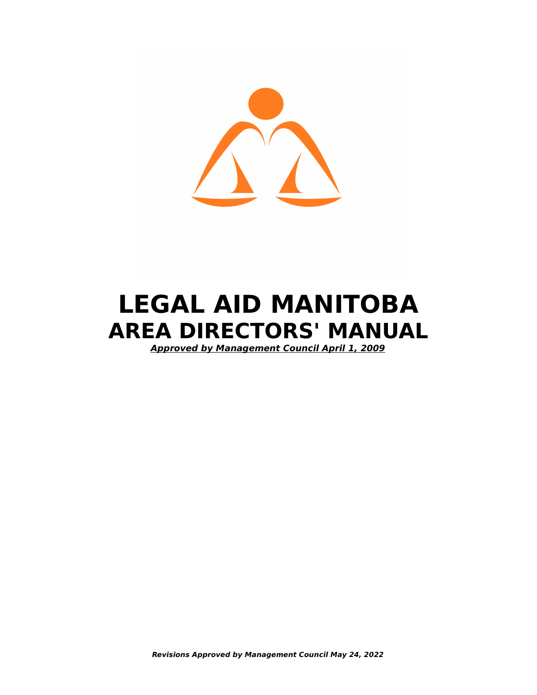

# **LEGAL AID MANITOBA AREA DIRECTORS' MANUAL**

 **Approved by Management Council April 1, 2009**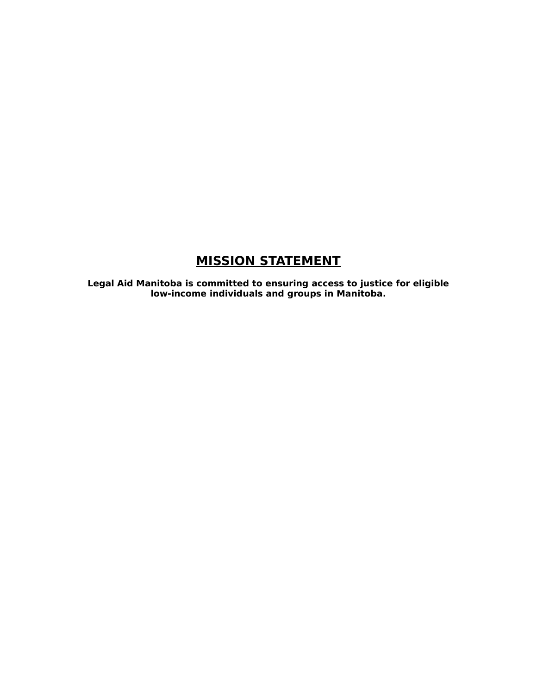# **MISSION STATEMENT**

**Legal Aid Manitoba is committed to ensuring access to justice for eligible low-income individuals and groups in Manitoba.**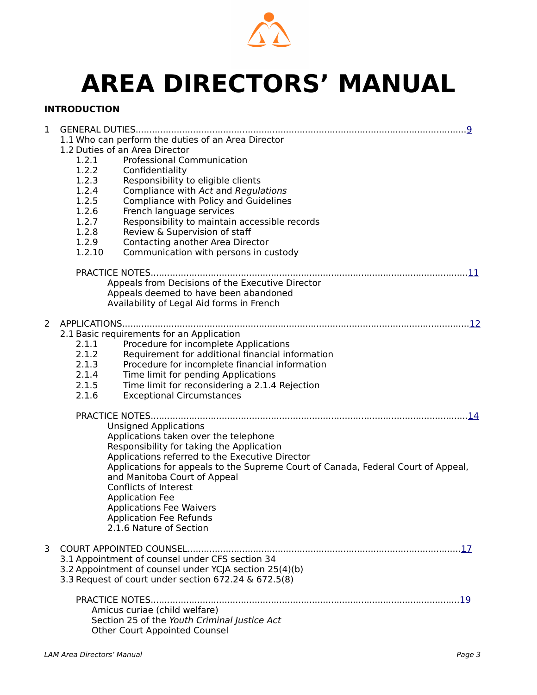

# **AREA DIRECTORS' MANUAL**

#### **INTRODUCTION**

| 1 | 1.1 Who can perform the duties of an Area Director                                                   |
|---|------------------------------------------------------------------------------------------------------|
|   | 1.2 Duties of an Area Director                                                                       |
|   | <b>Professional Communication</b><br>1.2.1                                                           |
|   | 1.2.2<br>Confidentiality<br>1.2.3                                                                    |
|   | Responsibility to eligible clients<br>1.2.4<br>Compliance with Act and Regulations                   |
|   | 1.2.5<br>Compliance with Policy and Guidelines                                                       |
|   | 1.2.6<br>French language services                                                                    |
|   | 1.2.7<br>Responsibility to maintain accessible records                                               |
|   | 1.2.8<br>Review & Supervision of staff                                                               |
|   | 1.2.9<br>Contacting another Area Director                                                            |
|   | 1.2.10<br>Communication with persons in custody                                                      |
|   |                                                                                                      |
|   | Appeals from Decisions of the Executive Director                                                     |
|   | Appeals deemed to have been abandoned                                                                |
|   | Availability of Legal Aid forms in French                                                            |
| 2 |                                                                                                      |
|   | 2.1 Basic requirements for an Application                                                            |
|   | 2.1.1<br>Procedure for incomplete Applications                                                       |
|   | 2.1.2<br>Requirement for additional financial information                                            |
|   | 2.1.3<br>Procedure for incomplete financial information                                              |
|   | 2.1.4<br>Time limit for pending Applications                                                         |
|   | 2.1.5<br>Time limit for reconsidering a 2.1.4 Rejection<br>2.1.6<br><b>Exceptional Circumstances</b> |
|   |                                                                                                      |
|   |                                                                                                      |
|   | <b>Unsigned Applications</b>                                                                         |
|   | Applications taken over the telephone                                                                |
|   | Responsibility for taking the Application<br>Applications referred to the Executive Director         |
|   | Applications for appeals to the Supreme Court of Canada, Federal Court of Appeal,                    |
|   | and Manitoba Court of Appeal                                                                         |
|   | Conflicts of Interest                                                                                |
|   | <b>Application Fee</b>                                                                               |
|   | <b>Applications Fee Waivers</b>                                                                      |
|   | <b>Application Fee Refunds</b><br>2.1.6 Nature of Section                                            |
|   |                                                                                                      |
| 3 |                                                                                                      |
|   | 3.1 Appointment of counsel under CFS section 34                                                      |
|   | 3.2 Appointment of counsel under YCJA section 25(4)(b)                                               |
|   | 3.3 Request of court under section 672.24 & 672.5(8)                                                 |
|   |                                                                                                      |
|   | Amicus curiae (child welfare)                                                                        |
|   | Section 25 of the Youth Criminal Justice Act                                                         |
|   | <b>Other Court Appointed Counsel</b>                                                                 |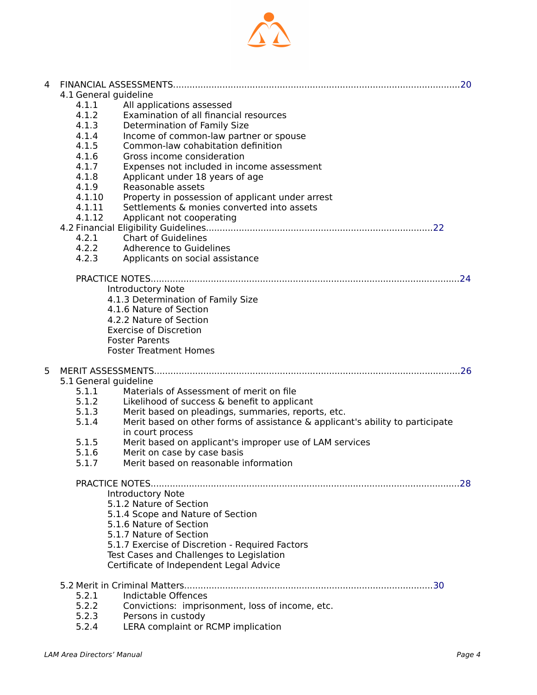

| 4 |                       |                                                                               |  |
|---|-----------------------|-------------------------------------------------------------------------------|--|
|   | 4.1 General guideline |                                                                               |  |
|   | 4.1.1                 | All applications assessed                                                     |  |
|   | 4.1.2                 | Examination of all financial resources                                        |  |
|   | 4.1.3                 | Determination of Family Size                                                  |  |
|   | 4.1.4                 | Income of common-law partner or spouse                                        |  |
|   | 4.1.5                 | Common-law cohabitation definition                                            |  |
|   | 4.1.6                 | Gross income consideration                                                    |  |
|   | 4.1.7                 | Expenses not included in income assessment                                    |  |
|   | 4.1.8                 | Applicant under 18 years of age                                               |  |
|   | 4.1.9                 | Reasonable assets                                                             |  |
|   | 4.1.10                | Property in possession of applicant under arrest                              |  |
|   | 4.1.11                | Settlements & monies converted into assets                                    |  |
|   | 4.1.12                | Applicant not cooperating                                                     |  |
|   |                       |                                                                               |  |
|   | 4.2.1                 | <b>Chart of Guidelines</b>                                                    |  |
|   | 4.2.2                 | Adherence to Guidelines                                                       |  |
|   | 4.2.3                 | Applicants on social assistance                                               |  |
|   |                       |                                                                               |  |
|   |                       |                                                                               |  |
|   |                       | Introductory Note                                                             |  |
|   |                       | 4.1.3 Determination of Family Size                                            |  |
|   |                       | 4.1.6 Nature of Section                                                       |  |
|   |                       | 4.2.2 Nature of Section                                                       |  |
|   |                       | <b>Exercise of Discretion</b>                                                 |  |
|   |                       | <b>Foster Parents</b>                                                         |  |
|   |                       | <b>Foster Treatment Homes</b>                                                 |  |
|   |                       |                                                                               |  |
| 5 |                       |                                                                               |  |
|   | 5.1 General guideline |                                                                               |  |
|   | 5.1.1                 | Materials of Assessment of merit on file                                      |  |
|   | 5.1.2                 | Likelihood of success & benefit to applicant                                  |  |
|   | 5.1.3                 | Merit based on pleadings, summaries, reports, etc.                            |  |
|   | 5.1.4                 | Merit based on other forms of assistance & applicant's ability to participate |  |
|   |                       | in court process                                                              |  |
|   | 5.1.5                 | Merit based on applicant's improper use of LAM services                       |  |
|   | 5.1.6                 |                                                                               |  |
|   |                       | Merit on case by case basis                                                   |  |
|   | 5.1.7                 | Merit based on reasonable information                                         |  |
|   |                       |                                                                               |  |
|   |                       |                                                                               |  |
|   |                       | <b>Introductory Note</b>                                                      |  |
|   |                       | 5.1.2 Nature of Section                                                       |  |
|   |                       | 5.1.4 Scope and Nature of Section                                             |  |
|   |                       | 5.1.6 Nature of Section                                                       |  |
|   |                       | 5.1.7 Nature of Section                                                       |  |
|   |                       | 5.1.7 Exercise of Discretion - Required Factors                               |  |
|   |                       | Test Cases and Challenges to Legislation                                      |  |
|   |                       | Certificate of Independent Legal Advice                                       |  |
|   |                       |                                                                               |  |
|   |                       |                                                                               |  |
|   | 5.2.1                 | Indictable Offences                                                           |  |
|   | 5.2.2                 | Convictions: imprisonment, loss of income, etc.                               |  |
|   | 5.2.3                 | Persons in custody                                                            |  |
|   | 5.2.4                 | LERA complaint or RCMP implication                                            |  |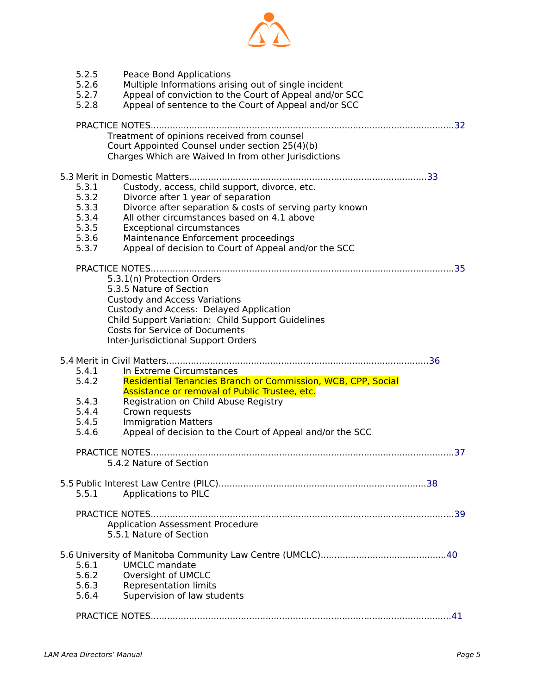

| 5.2.5<br>5.2.6<br>5.2.7<br>5.2.8                            | Peace Bond Applications<br>Multiple Informations arising out of single incident<br>Appeal of conviction to the Court of Appeal and/or SCC<br>Appeal of sentence to the Court of Appeal and/or SCC                                                                                                                               |  |
|-------------------------------------------------------------|---------------------------------------------------------------------------------------------------------------------------------------------------------------------------------------------------------------------------------------------------------------------------------------------------------------------------------|--|
|                                                             | Treatment of opinions received from counsel<br>Court Appointed Counsel under section 25(4)(b)<br>Charges Which are Waived In from other Jurisdictions                                                                                                                                                                           |  |
| 5.3.1<br>5.3.2<br>5.3.3<br>5.3.4<br>5.3.5<br>5.3.6<br>5.3.7 | Custody, access, child support, divorce, etc.<br>Divorce after 1 year of separation<br>Divorce after separation & costs of serving party known<br>All other circumstances based on 4.1 above<br><b>Exceptional circumstances</b><br>Maintenance Enforcement proceedings<br>Appeal of decision to Court of Appeal and/or the SCC |  |
|                                                             | 5.3.1(n) Protection Orders<br>5.3.5 Nature of Section<br><b>Custody and Access Variations</b><br>Custody and Access: Delayed Application<br>Child Support Variation: Child Support Guidelines<br><b>Costs for Service of Documents</b><br>Inter-Jurisdictional Support Orders                                                   |  |
| 5.4.1<br>5.4.2<br>5.4.3<br>5.4.4<br>5.4.5<br>5.4.6          | In Extreme Circumstances<br>Residential Tenancies Branch or Commission, WCB, CPP, Social<br>Assistance or removal of Public Trustee, etc.<br>Registration on Child Abuse Registry<br>Crown requests<br><b>Immigration Matters</b><br>Appeal of decision to the Court of Appeal and/or the SCC                                   |  |
|                                                             | 5.4.2 Nature of Section                                                                                                                                                                                                                                                                                                         |  |
| 5.5.1                                                       | Applications to PILC<br>Application Assessment Procedure<br>5.5.1 Nature of Section                                                                                                                                                                                                                                             |  |
| 5.6.1<br>5.6.2<br>5.6.3<br>5.6.4                            | <b>UMCLC</b> mandate<br>Oversight of UMCLC<br><b>Representation limits</b><br>Supervision of law students                                                                                                                                                                                                                       |  |
|                                                             |                                                                                                                                                                                                                                                                                                                                 |  |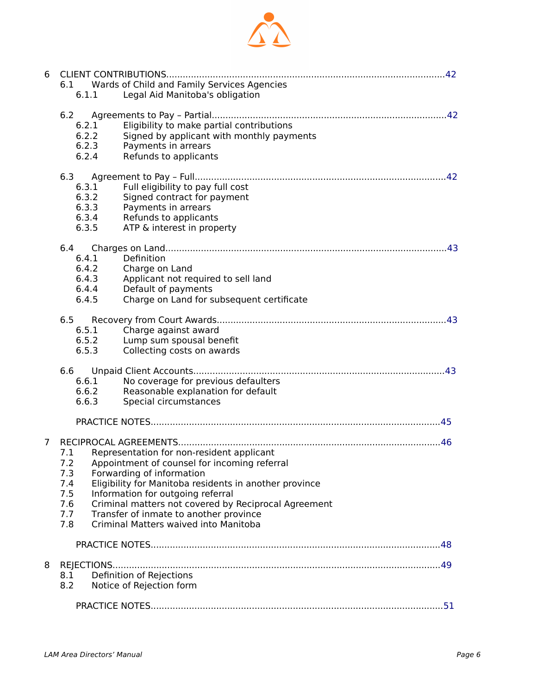

| 6 | 6.1                                              | Wards of Child and Family Services Agencies                                                                                                                                                                                                                                                                                                                          |
|---|--------------------------------------------------|----------------------------------------------------------------------------------------------------------------------------------------------------------------------------------------------------------------------------------------------------------------------------------------------------------------------------------------------------------------------|
|   | 6.1.1                                            | Legal Aid Manitoba's obligation                                                                                                                                                                                                                                                                                                                                      |
|   | 6.2<br>6.2.1<br>6.2.2<br>6.2.3<br>6.2.4          | Eligibility to make partial contributions<br>Signed by applicant with monthly payments<br>Payments in arrears<br>Refunds to applicants                                                                                                                                                                                                                               |
|   | 6.3<br>6.3.1<br>6.3.2<br>6.3.3<br>6.3.4<br>6.3.5 | Full eligibility to pay full cost<br>Signed contract for payment<br>Payments in arrears<br>Refunds to applicants<br>ATP & interest in property                                                                                                                                                                                                                       |
|   | 6.4<br>6.4.1<br>6.4.2<br>6.4.3<br>6.4.4<br>6.4.5 | Definition<br>Charge on Land<br>Applicant not required to sell land<br>Default of payments<br>Charge on Land for subsequent certificate                                                                                                                                                                                                                              |
|   | 6.5<br>6.5.1<br>6.5.2<br>6.5.3                   | Charge against award<br>Lump sum spousal benefit<br>Collecting costs on awards                                                                                                                                                                                                                                                                                       |
|   | 6.6<br>6.6.1<br>6.6.2<br>6.6.3                   | No coverage for previous defaulters<br>Reasonable explanation for default<br>Special circumstances                                                                                                                                                                                                                                                                   |
|   |                                                  |                                                                                                                                                                                                                                                                                                                                                                      |
| 7 | 7.1<br>7.3<br>7.4<br>7.5<br>7.6<br>7.7<br>7.8    | Representation for non-resident applicant<br>7.2 Appointment of counsel for incoming referral<br>Forwarding of information<br>Eligibility for Manitoba residents in another province<br>Information for outgoing referral<br>Criminal matters not covered by Reciprocal Agreement<br>Transfer of inmate to another province<br>Criminal Matters waived into Manitoba |
|   |                                                  |                                                                                                                                                                                                                                                                                                                                                                      |
| 8 | 8.1<br>8.2                                       | Definition of Rejections<br>Notice of Rejection form                                                                                                                                                                                                                                                                                                                 |
|   |                                                  |                                                                                                                                                                                                                                                                                                                                                                      |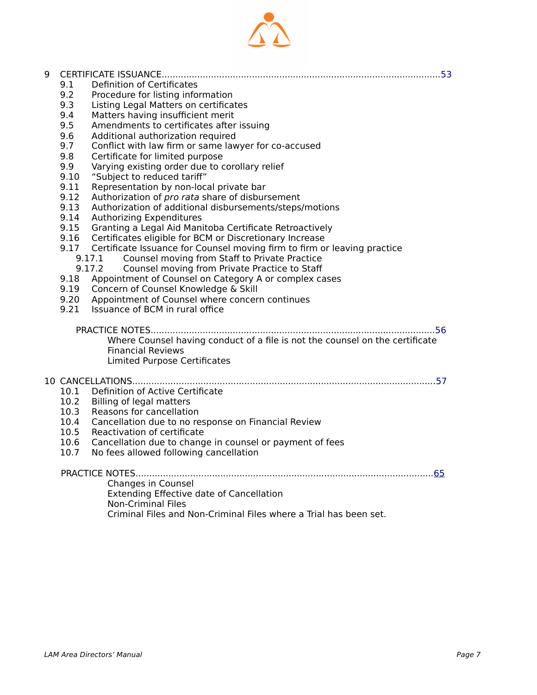

9 CERTIFICATE ISSUANCE......................................................................................................[53](#page-52-0)

9.1 Definition of Certificates<br>9.2 Procedure for listing infor

Procedure for listing information 9.3 Listing Legal Matters on certificates 9.4 Matters having insufficient merit

| 9.5  | Amendments to certificates after issuing                                                                                                 |
|------|------------------------------------------------------------------------------------------------------------------------------------------|
| 9.6  | Additional authorization required                                                                                                        |
| 9.7  | Conflict with law firm or same lawyer for co-accused                                                                                     |
| 9.8  | Certificate for limited purpose                                                                                                          |
| 9.9  | Varying existing order due to corollary relief                                                                                           |
| 9.10 | "Subject to reduced tariff"                                                                                                              |
| 9.11 | Representation by non-local private bar                                                                                                  |
| 9.12 | Authorization of pro rata share of disbursement                                                                                          |
| 9.13 | Authorization of additional disbursements/steps/motions                                                                                  |
| 9.14 | Authorizing Expenditures                                                                                                                 |
| 9.15 | Granting a Legal Aid Manitoba Certificate Retroactively                                                                                  |
| 9.16 | Certificates eligible for BCM or Discretionary Increase                                                                                  |
| 9.17 | Certificate Issuance for Counsel moving firm to firm or leaving practice                                                                 |
|      | Counsel moving from Staff to Private Practice<br>9.17.1                                                                                  |
|      | 9.17.2<br>Counsel moving from Private Practice to Staff                                                                                  |
| 9.18 | Appointment of Counsel on Category A or complex cases                                                                                    |
| 9.19 | Concern of Counsel Knowledge & Skill                                                                                                     |
| 9.20 | Appointment of Counsel where concern continues                                                                                           |
| 9.21 | Issuance of BCM in rural office                                                                                                          |
|      | Where Counsel having conduct of a file is not the counsel on the certificate<br><b>Financial Reviews</b><br>Limited Purpose Certificates |
|      |                                                                                                                                          |
| 10.1 | Definition of Active Certificate                                                                                                         |
| 10.2 | Billing of legal matters                                                                                                                 |
| 10.3 | Reasons for cancellation                                                                                                                 |
| 10.4 | Cancellation due to no response on Financial Review                                                                                      |
| 10.5 | Reactivation of certificate                                                                                                              |
| 10.6 | Cancellation due to change in counsel or payment of fees                                                                                 |
| 10.7 | No fees allowed following cancellation                                                                                                   |
|      |                                                                                                                                          |
|      |                                                                                                                                          |
|      | Changes in Counsel                                                                                                                       |
|      | <b>Extending Effective date of Cancellation</b>                                                                                          |
|      | <b>Non-Criminal Files</b>                                                                                                                |
|      | Criminal Files and Non-Criminal Files where a Trial has been set.                                                                        |
|      |                                                                                                                                          |
|      |                                                                                                                                          |
|      |                                                                                                                                          |
|      |                                                                                                                                          |
|      |                                                                                                                                          |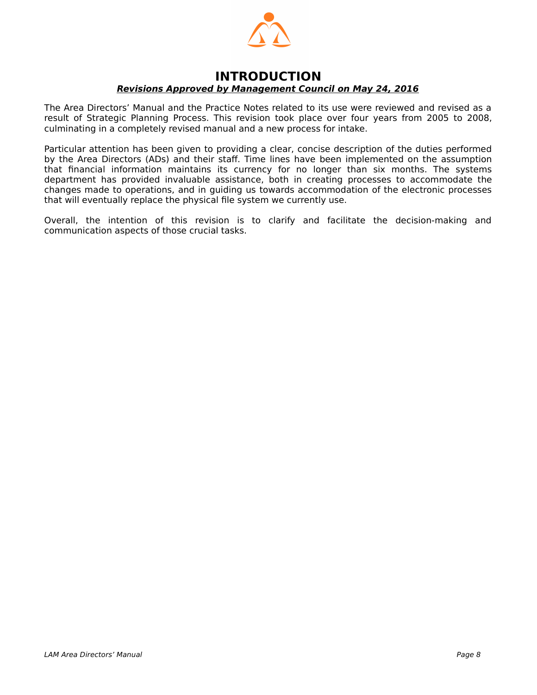

#### **INTRODUCTION Revisions Approved by Management Council on May 24, 2016**

The Area Directors' Manual and the Practice Notes related to its use were reviewed and revised as a result of Strategic Planning Process. This revision took place over four years from 2005 to 2008, culminating in a completely revised manual and a new process for intake.

Particular attention has been given to providing a clear, concise description of the duties performed by the Area Directors (ADs) and their staff. Time lines have been implemented on the assumption that financial information maintains its currency for no longer than six months. The systems department has provided invaluable assistance, both in creating processes to accommodate the changes made to operations, and in guiding us towards accommodation of the electronic processes that will eventually replace the physical file system we currently use.

Overall, the intention of this revision is to clarify and facilitate the decision-making and communication aspects of those crucial tasks.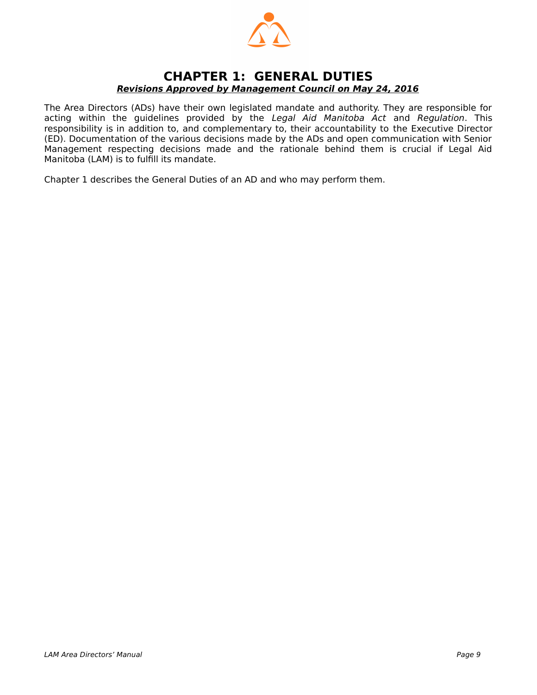

#### <span id="page-8-0"></span>**CHAPTER 1: GENERAL DUTIES Revisions Approved by Management Council on May 24, 2016**

The Area Directors (ADs) have their own legislated mandate and authority. They are responsible for acting within the guidelines provided by the Legal Aid Manitoba Act and Regulation. This responsibility is in addition to, and complementary to, their accountability to the Executive Director (ED). Documentation of the various decisions made by the ADs and open communication with Senior Management respecting decisions made and the rationale behind them is crucial if Legal Aid Manitoba (LAM) is to fulfill its mandate.

Chapter 1 describes the General Duties of an AD and who may perform them.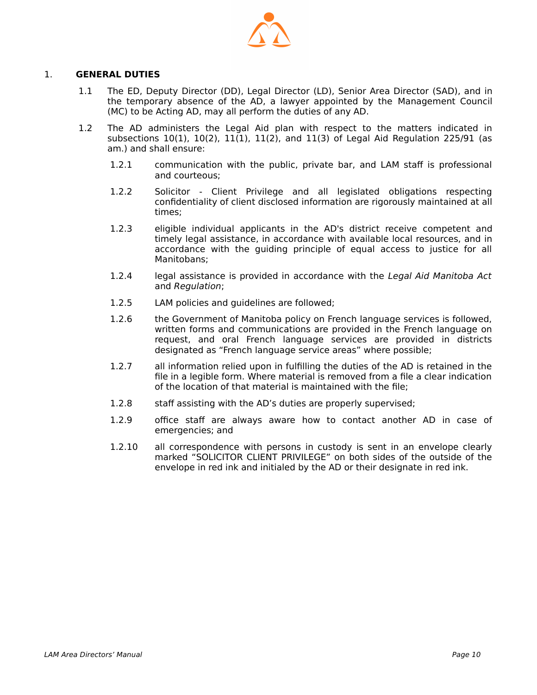

#### 1. **GENERAL DUTIES**

- 1.1 The ED, Deputy Director (DD), Legal Director (LD), Senior Area Director (SAD), and in the temporary absence of the AD, a lawyer appointed by the Management Council (MC) to be Acting AD, may all perform the duties of any AD.
- 1.2 The AD administers the Legal Aid plan with respect to the matters indicated in subsections  $10(1)$ ,  $10(2)$ ,  $11(1)$ ,  $11(2)$ , and  $11(3)$  of Legal Aid Regulation 225/91 (as am.) and shall ensure:
	- 1.2.1 communication with the public, private bar, and LAM staff is professional and courteous;
	- 1.2.2 Solicitor Client Privilege and all legislated obligations respecting confidentiality of client disclosed information are rigorously maintained at all times;
	- 1.2.3 eligible individual applicants in the AD's district receive competent and timely legal assistance, in accordance with available local resources, and in accordance with the guiding principle of equal access to justice for all Manitobans;
	- 1.2.4 legal assistance is provided in accordance with the Legal Aid Manitoba Act and Regulation;
	- 1.2.5 LAM policies and guidelines are followed;
	- 1.2.6 the Government of Manitoba policy on French language services is followed, written forms and communications are provided in the French language on request, and oral French language services are provided in districts designated as "French language service areas" where possible;
	- 1.2.7 all information relied upon in fulfilling the duties of the AD is retained in the file in a legible form. Where material is removed from a file a clear indication of the location of that material is maintained with the file;
	- 1.2.8 staff assisting with the AD's duties are properly supervised;
	- 1.2.9 office staff are always aware how to contact another AD in case of emergencies; and
	- 1.2.10 all correspondence with persons in custody is sent in an envelope clearly marked "SOLICITOR CLIENT PRIVILEGE" on both sides of the outside of the envelope in red ink and initialed by the AD or their designate in red ink.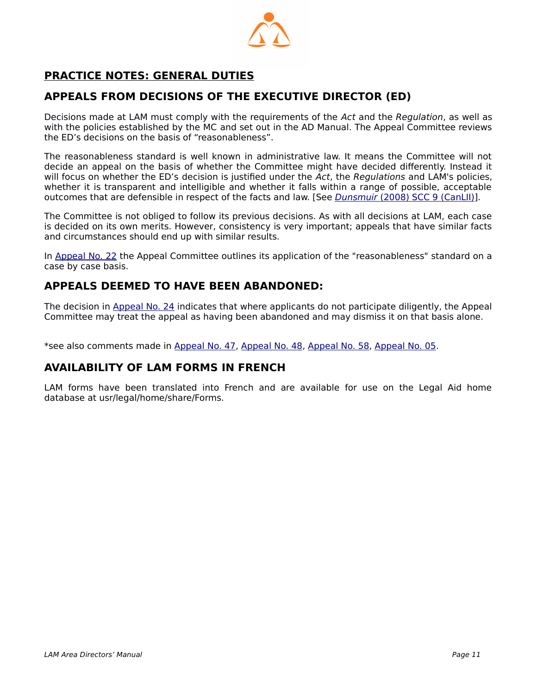

# <span id="page-10-0"></span> **PRACTICE NOTES: GENERAL DUTIES**

## **APPEALS FROM DECISIONS OF THE EXECUTIVE DIRECTOR (ED)**

Decisions made at LAM must comply with the requirements of the Act and the Regulation, as well as with the policies established by the MC and set out in the AD Manual. The Appeal Committee reviews the ED's decisions on the basis of "reasonableness".

The reasonableness standard is well known in administrative law. It means the Committee will not decide an appeal on the basis of whether the Committee might have decided differently. Instead it will focus on whether the ED's decision is justified under the Act, the Regulations and LAM's policies, whether it is transparent and intelligible and whether it falls within a range of possible, acceptable outcomes that are defensible in respect of the facts and law. [See *Dunsmuir* [\(2008\)](http://www.canlii.org/en/ca/scc/doc/2008/2008scc9/2008scc9.html?searchUrlHash=AAAAAQANZHVuc211aXIgMjAwOAAAAAAB) [SCC 9 \(CanLII\)](http://www.canlii.org/en/ca/scc/doc/2008/2008scc9/2008scc9.html?searchUrlHash=AAAAAQANZHVuc211aXIgMjAwOAAAAAAB)].

The Committee is not obliged to follow its previous decisions. As with all decisions at LAM, each case is decided on its own merits. However, consistency is very important; appeals that have similar facts and circumstances should end up with similar results.

In [Appeal No. 22](http://www.legalaid.mb.ca/pdf/appealcommittee/Decision%20No.%2022.pdf) the Appeal Committee outlines its application of the "reasonableness" standard on a case by case basis.

## **APPEALS DEEMED TO HAVE BEEN ABANDONED:**

The decision in [Appeal No. 24](http://www.legalaid.mb.ca/pdf/appealcommittee/Decision%2024.pdf) indicates that where applicants do not participate diligently, the Appeal Committee may treat the appeal as having been abandoned and may dismiss it on that basis alone.

\*see also comments made in [Appeal No. 47,](http://www.legalaid.mb.ca/pdf/appealcommittee/Decision%20No.%2047.pdf) [Appeal No. 48](http://www.legalaid.mb.ca/pdf/appealcommittee/Decision%20No.%2048.pdf), [Appeal No. 58](http://www.legalaid.mb.ca/pdf/appealcommittee/Decision%20No.%2058.pdf), [Appeal No. 05](http://www.legalaid.mb.ca/pdf/appealcommittee/Decision%2005.pdf).

## **AVAILABILITY OF LAM FORMS IN FRENCH**

LAM forms have been translated into French and are available for use on the Legal Aid home database at usr/legal/home/share/Forms.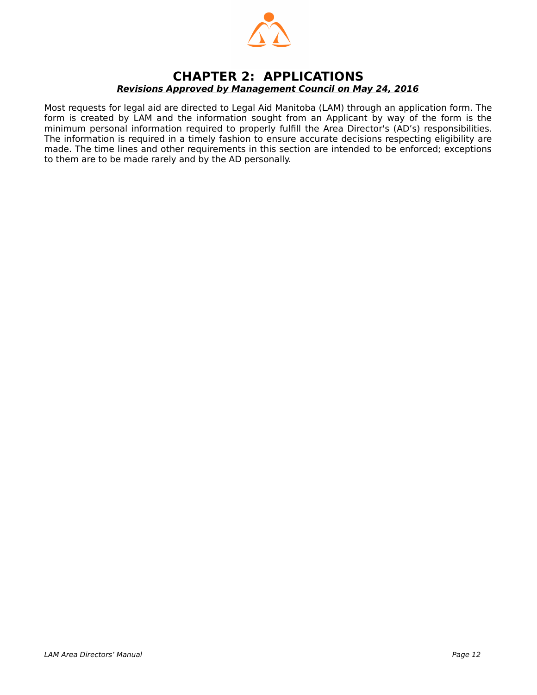

## <span id="page-11-0"></span>**CHAPTER 2: APPLICATIONS Revisions Approved by Management Council on May 24, 2016**

Most requests for legal aid are directed to Legal Aid Manitoba (LAM) through an application form. The form is created by LAM and the information sought from an Applicant by way of the form is the minimum personal information required to properly fulfill the Area Director's (AD's) responsibilities. The information is required in a timely fashion to ensure accurate decisions respecting eligibility are made. The time lines and other requirements in this section are intended to be enforced; exceptions to them are to be made rarely and by the AD personally.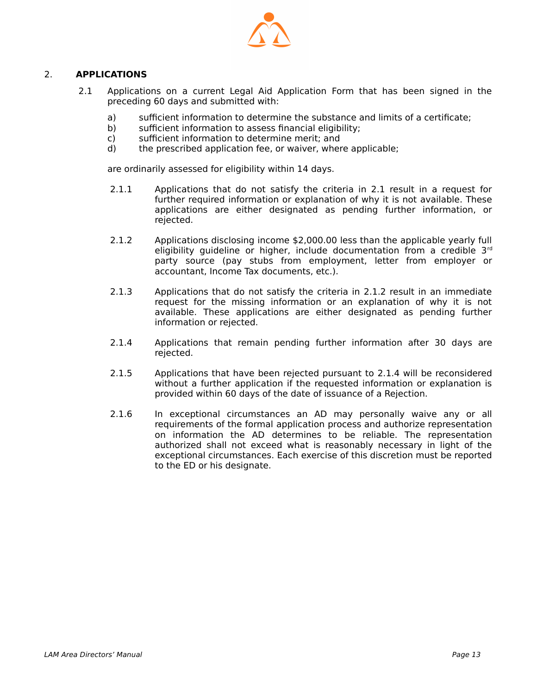

#### 2. **APPLICATIONS**

- 2.1 Applications on a current Legal Aid Application Form that has been signed in the preceding 60 days and submitted with:
	- a) sufficient information to determine the substance and limits of a certificate;
	- b) sufficient information to assess financial eligibility;
	- c) sufficient information to determine merit; and
	- d) the prescribed application fee, or waiver, where applicable;

are ordinarily assessed for eligibility within 14 days.

- 2.1.1 Applications that do not satisfy the criteria in 2.1 result in a request for further required information or explanation of why it is not available. These applications are either designated as pending further information, or rejected.
- 2.1.2 Applications disclosing income \$2,000.00 less than the applicable yearly full eligibility guideline or higher, include documentation from a credible 3rd party source (pay stubs from employment, letter from employer or accountant, Income Tax documents, etc.).
- 2.1.3 Applications that do not satisfy the criteria in 2.1.2 result in an immediate request for the missing information or an explanation of why it is not available. These applications are either designated as pending further information or rejected.
- 2.1.4 Applications that remain pending further information after 30 days are rejected.
- 2.1.5 Applications that have been rejected pursuant to 2.1.4 will be reconsidered without a further application if the requested information or explanation is provided within 60 days of the date of issuance of a Rejection.
- 2.1.6 In exceptional circumstances an AD may personally waive any or all requirements of the formal application process and authorize representation on information the AD determines to be reliable. The representation authorized shall not exceed what is reasonably necessary in light of the exceptional circumstances. Each exercise of this discretion must be reported to the ED or his designate.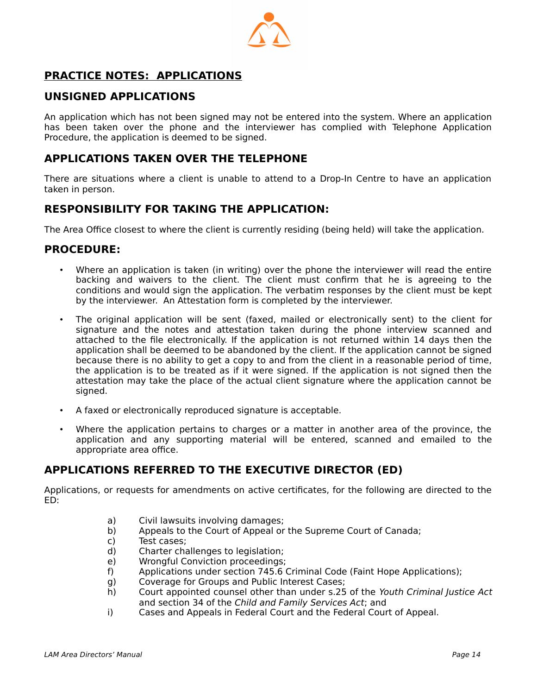

# <span id="page-13-0"></span> **PRACTICE NOTES: APPLICATIONS**

## **UNSIGNED APPLICATIONS**

An application which has not been signed may not be entered into the system. Where an application has been taken over the phone and the interviewer has complied with Telephone Application Procedure, the application is deemed to be signed.

## **APPLICATIONS TAKEN OVER THE TELEPHONE**

There are situations where a client is unable to attend to a Drop-In Centre to have an application taken in person.

## **RESPONSIBILITY FOR TAKING THE APPLICATION:**

The Area Office closest to where the client is currently residing (being held) will take the application.

#### **PROCEDURE:**

- Where an application is taken (in writing) over the phone the interviewer will read the entire backing and waivers to the client. The client must confirm that he is agreeing to the conditions and would sign the application. The verbatim responses by the client must be kept by the interviewer. An Attestation form is completed by the interviewer.
- The original application will be sent (faxed, mailed or electronically sent) to the client for signature and the notes and attestation taken during the phone interview scanned and attached to the file electronically. If the application is not returned within 14 days then the application shall be deemed to be abandoned by the client. If the application cannot be signed because there is no ability to get a copy to and from the client in a reasonable period of time, the application is to be treated as if it were signed. If the application is not signed then the attestation may take the place of the actual client signature where the application cannot be signed.
- A faxed or electronically reproduced signature is acceptable.
- Where the application pertains to charges or a matter in another area of the province, the application and any supporting material will be entered, scanned and emailed to the appropriate area office.

#### **APPLICATIONS REFERRED TO THE EXECUTIVE DIRECTOR (ED)**

Applications, or requests for amendments on active certificates, for the following are directed to the ED:

- a) Civil lawsuits involving damages;
- b) Appeals to the Court of Appeal or the Supreme Court of Canada;
- c) Test cases;
- d) Charter challenges to legislation;
- e) Wrongful Conviction proceedings;
- f) Applications under section 745.6 Criminal Code (Faint Hope Applications);
- g) Coverage for Groups and Public Interest Cases;
- h) Court appointed counsel other than under s.25 of the Youth Criminal Justice Act and section 34 of the Child and Family Services Act; and
- i) Cases and Appeals in Federal Court and the Federal Court of Appeal.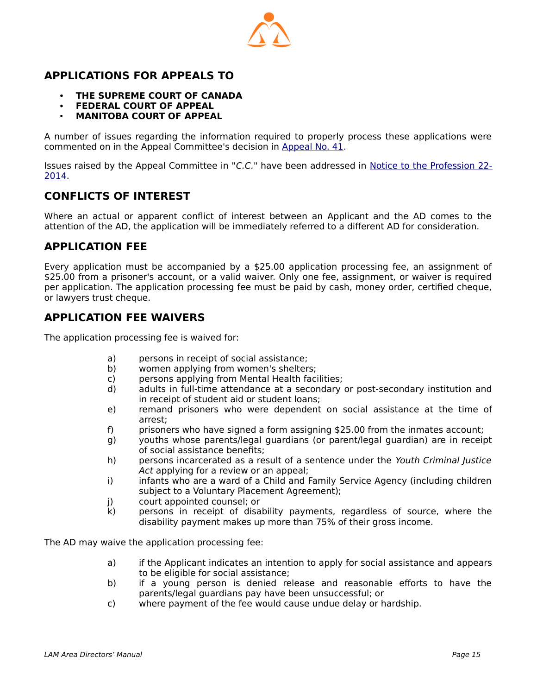

## **APPLICATIONS FOR APPEALS TO**

- **THE SUPREME COURT OF CANADA**
- **FEDERAL COURT OF APPEAL**
- **MANITOBA COURT OF APPEAL**

A number of issues regarding the information required to properly process these applications were commented on in the Appeal Committee's decision in [Appeal No. 41.](http://www.legalaid.mb.ca/pdf/appealcommittee/Decision%20No.%2041.pdf)

Issues raised by the Appeal Committee in "C.C." have been addressed in [Notice to the Profession 22-](http://www.legalaid.mb.ca/pdf/np_22_2014.pdf) [2014](http://www.legalaid.mb.ca/pdf/np_22_2014.pdf).

#### **CONFLICTS OF INTEREST**

Where an actual or apparent conflict of interest between an Applicant and the AD comes to the attention of the AD, the application will be immediately referred to a different AD for consideration.

#### **APPLICATION FEE**

Every application must be accompanied by a \$25.00 application processing fee, an assignment of \$25.00 from a prisoner's account, or a valid waiver. Only one fee, assignment, or waiver is required per application. The application processing fee must be paid by cash, money order, certified cheque, or lawyers trust cheque.

#### **APPLICATION FEE WAIVERS**

The application processing fee is waived for:

- a) persons in receipt of social assistance;
- b) women applying from women's shelters;
- c) persons applying from Mental Health facilities;
- d) adults in full-time attendance at a secondary or post-secondary institution and in receipt of student aid or student loans;
- e) remand prisoners who were dependent on social assistance at the time of arrest;
- f) prisoners who have signed a form assigning \$25.00 from the inmates account;
- g) youths whose parents/legal guardians (or parent/legal guardian) are in receipt of social assistance benefits;
- h) persons incarcerated as a result of a sentence under the Youth Criminal Justice Act applying for a review or an appeal;
- i) infants who are a ward of a Child and Family Service Agency (including children subject to a Voluntary Placement Agreement);
- j) court appointed counsel; or
- k) persons in receipt of disability payments, regardless of source, where the disability payment makes up more than 75% of their gross income.

The AD may waive the application processing fee:

- a) if the Applicant indicates an intention to apply for social assistance and appears to be eligible for social assistance;
- b) if a young person is denied release and reasonable efforts to have the parents/legal guardians pay have been unsuccessful; or
- c) where payment of the fee would cause undue delay or hardship.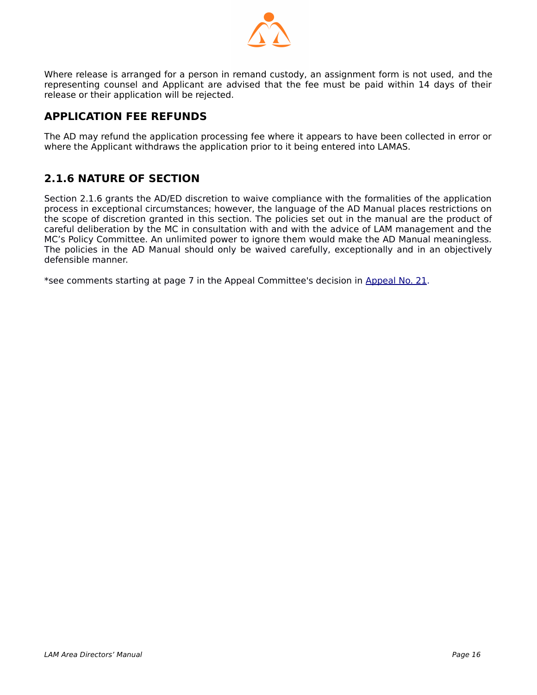

Where release is arranged for a person in remand custody, an assignment form is not used, and the representing counsel and Applicant are advised that the fee must be paid within 14 days of their release or their application will be rejected.

# **APPLICATION FEE REFUNDS**

The AD may refund the application processing fee where it appears to have been collected in error or where the Applicant withdraws the application prior to it being entered into LAMAS.

# **2.1.6 NATURE OF SECTION**

Section 2.1.6 grants the AD/ED discretion to waive compliance with the formalities of the application process in exceptional circumstances; however, the language of the AD Manual places restrictions on the scope of discretion granted in this section. The policies set out in the manual are the product of careful deliberation by the MC in consultation with and with the advice of LAM management and the MC's Policy Committee. An unlimited power to ignore them would make the AD Manual meaningless. The policies in the AD Manual should only be waived carefully, exceptionally and in an objectively defensible manner.

\*see comments starting at page 7 in the Appeal Committee's decision in [Appeal No. 21](http://www.legalaid.mb.ca/pdf/appealcommittee/Decision%2021.pdf).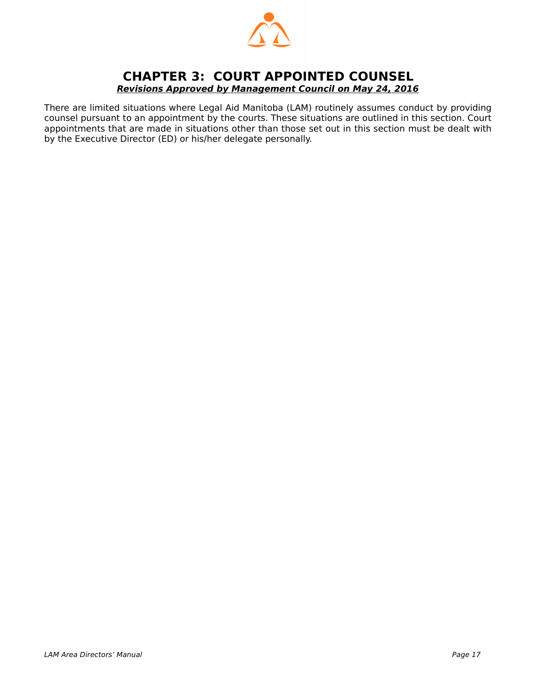

## <span id="page-16-0"></span>**CHAPTER 3: COURT APPOINTED COUNSEL Revisions Approved by Management Council on May 24, 2016**

There are limited situations where Legal Aid Manitoba (LAM) routinely assumes conduct by providing counsel pursuant to an appointment by the courts. These situations are outlined in this section. Court appointments that are made in situations other than those set out in this section must be dealt with by the Executive Director (ED) or his/her delegate personally.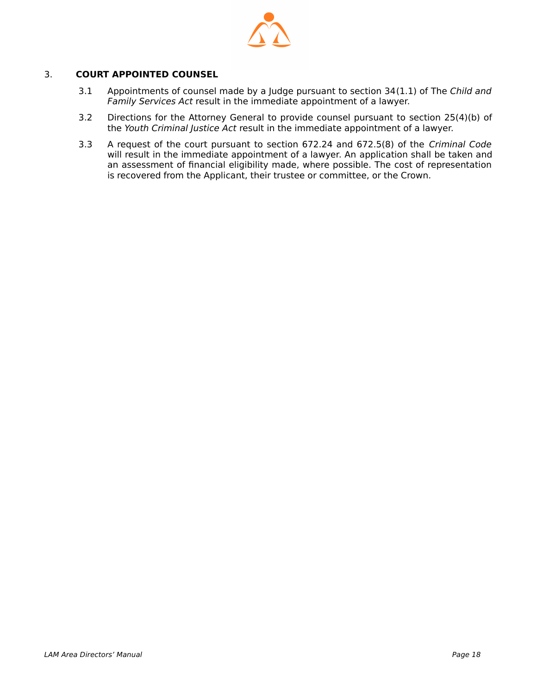

#### 3. **COURT APPOINTED COUNSEL**

- 3.1 Appointments of counsel made by a Judge pursuant to section 34(1.1) of The Child and Family Services Act result in the immediate appointment of a lawyer.
- 3.2 Directions for the Attorney General to provide counsel pursuant to section 25(4)(b) of the Youth Criminal Justice Act result in the immediate appointment of a lawyer.
- 3.3 A request of the court pursuant to section 672.24 and 672.5(8) of the Criminal Code will result in the immediate appointment of a lawyer. An application shall be taken and an assessment of financial eligibility made, where possible. The cost of representation is recovered from the Applicant, their trustee or committee, or the Crown.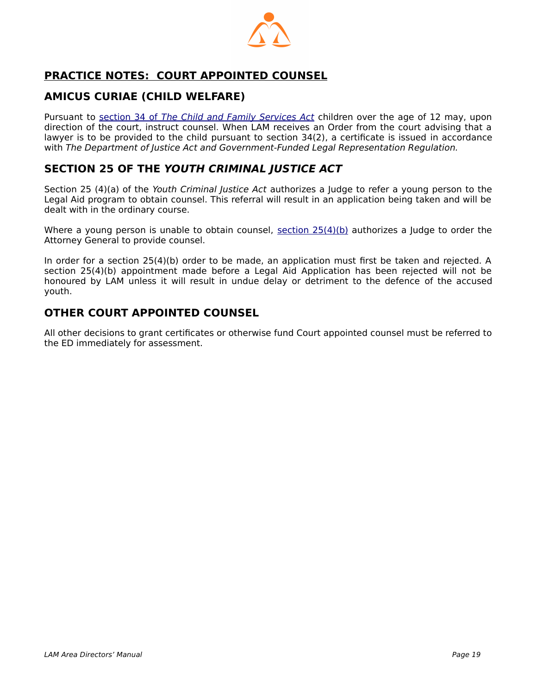

# <span id="page-18-0"></span> **PRACTICE NOTES: COURT APPOINTED COUNSEL**

## **AMICUS CURIAE (CHILD WELFARE)**

Pursuant to [section 34 of](http://web2.gov.mb.ca/laws/statutes/ccsm/c080e.php#34(1.1)) [T](http://web2.gov.mb.ca/laws/statutes/ccsm/c080e.php#34(1.1))[he](http://web2.gov.mb.ca/laws/statutes/ccsm/c080e.php#34(1.1)) [Child and Family Services Act](http://web2.gov.mb.ca/laws/statutes/ccsm/c080e.php#34(1.1)) children over the age of 12 may, upon direction of the court, instruct counsel. When LAM receives an Order from the court advising that a lawyer is to be provided to the child pursuant to section 34(2), a certificate is issued in accordance with The Department of Justice Act and Government-Funded Legal Representation Regulation.

## **SECTION 25 OF THE YOUTH CRIMINAL JUSTICE ACT**

Section 25 (4)(a) of the Youth Criminal Justice Act authorizes a Judge to refer a young person to the Legal Aid program to obtain counsel. This referral will result in an application being taken and will be dealt with in the ordinary course.

Where a young person is unable to obtain counsel, section  $25(4)(b)$  authorizes a Judge to order the Attorney General to provide counsel.

In order for a section 25(4)(b) order to be made, an application must first be taken and rejected. A section 25(4)(b) appointment made before a Legal Aid Application has been rejected will not be honoured by LAM unless it will result in undue delay or detriment to the defence of the accused youth.

## **OTHER COURT APPOINTED COUNSEL**

All other decisions to grant certificates or otherwise fund Court appointed counsel must be referred to the ED immediately for assessment.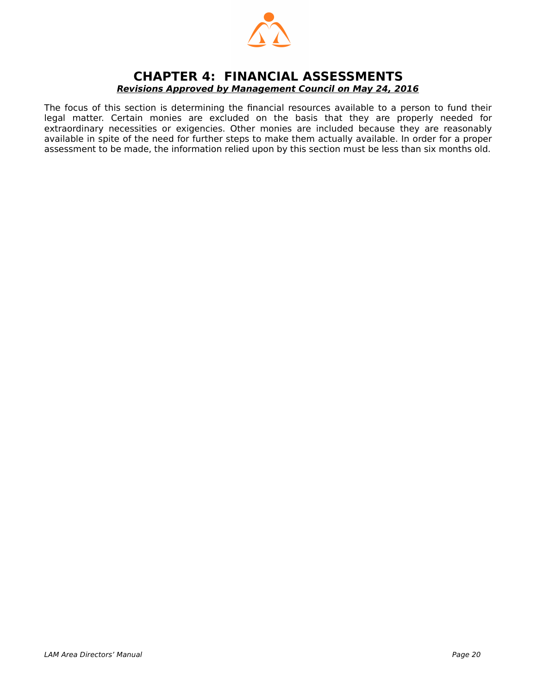

#### <span id="page-19-0"></span>**CHAPTER 4: FINANCIAL ASSESSMENTS Revisions Approved by Management Council on May 24, 2016**

The focus of this section is determining the financial resources available to a person to fund their legal matter. Certain monies are excluded on the basis that they are properly needed for extraordinary necessities or exigencies. Other monies are included because they are reasonably available in spite of the need for further steps to make them actually available. In order for a proper assessment to be made, the information relied upon by this section must be less than six months old.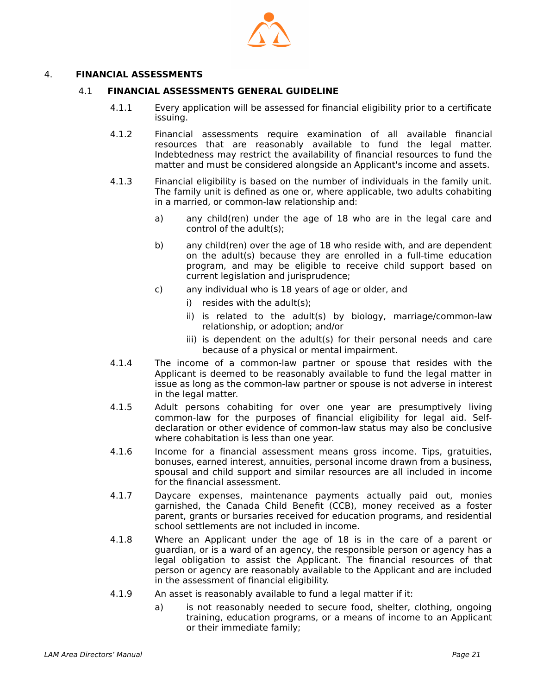

#### 4. **FINANCIAL ASSESSMENTS**

#### 4.1 **FINANCIAL ASSESSMENTS GENERAL GUIDELINE**

- 4.1.1 Every application will be assessed for financial eligibility prior to a certificate issuing.
- 4.1.2 Financial assessments require examination of all available financial resources that are reasonably available to fund the legal matter. Indebtedness may restrict the availability of financial resources to fund the matter and must be considered alongside an Applicant's income and assets.
- 4.1.3 Financial eligibility is based on the number of individuals in the family unit. The family unit is defined as one or, where applicable, two adults cohabiting in a married, or common-law relationship and:
	- a) any child(ren) under the age of 18 who are in the legal care and control of the adult(s);
	- b) any child(ren) over the age of 18 who reside with, and are dependent on the adult(s) because they are enrolled in a full-time education program, and may be eligible to receive child support based on current legislation and jurisprudence;
	- c) any individual who is 18 years of age or older, and
		- i) resides with the adult(s);
		- ii) is related to the adult(s) by biology, marriage/common-law relationship, or adoption; and/or
		- iii) is dependent on the adult(s) for their personal needs and care because of a physical or mental impairment.
- 4.1.4 The income of a common-law partner or spouse that resides with the Applicant is deemed to be reasonably available to fund the legal matter in issue as long as the common-law partner or spouse is not adverse in interest in the legal matter.
- 4.1.5 Adult persons cohabiting for over one year are presumptively living common-law for the purposes of financial eligibility for legal aid. Selfdeclaration or other evidence of common-law status may also be conclusive where cohabitation is less than one year.
- 4.1.6 Income for a financial assessment means gross income. Tips, gratuities, bonuses, earned interest, annuities, personal income drawn from a business, spousal and child support and similar resources are all included in income for the financial assessment.
- 4.1.7 Daycare expenses, maintenance payments actually paid out, monies garnished, the Canada Child Benefit (CCB), money received as a foster parent, grants or bursaries received for education programs, and residential school settlements are not included in income.
- 4.1.8 Where an Applicant under the age of 18 is in the care of a parent or guardian, or is a ward of an agency, the responsible person or agency has a legal obligation to assist the Applicant. The financial resources of that person or agency are reasonably available to the Applicant and are included in the assessment of financial eligibility.
- 4.1.9 An asset is reasonably available to fund a legal matter if it:
	- a) is not reasonably needed to secure food, shelter, clothing, ongoing training, education programs, or a means of income to an Applicant or their immediate family;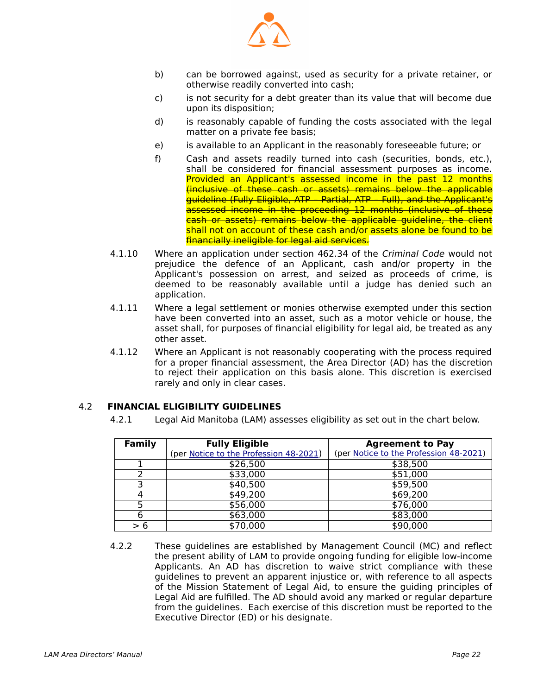

- b) can be borrowed against, used as security for a private retainer, or otherwise readily converted into cash;
- c) is not security for a debt greater than its value that will become due upon its disposition;
- d) is reasonably capable of funding the costs associated with the legal matter on a private fee basis;
- e) is available to an Applicant in the reasonably foreseeable future; or
- f) Cash and assets readily turned into cash (securities, bonds, etc.), shall be considered for financial assessment purposes as income. Provided an Applicant's assessed income in the past 12 months (inclusive of these cash or assets) remains below the applicable guideline (Fully Eligible, ATP – Partial, ATP – Full), and the Applicant's assessed income in the proceeding 12 months (inclusive of these cash or assets) remains below the applicable guideline, the client shall not on account of these cash and/or assets alone be found to be financially ineligible for legal aid services.
- 4.1.10 Where an application under section 462.34 of the Criminal Code would not prejudice the defence of an Applicant, cash and/or property in the Applicant's possession on arrest, and seized as proceeds of crime, is deemed to be reasonably available until a judge has denied such an application.
- 4.1.11 Where a legal settlement or monies otherwise exempted under this section have been converted into an asset, such as a motor vehicle or house, the asset shall, for purposes of financial eligibility for legal aid, be treated as any other asset.
- 4.1.12 Where an Applicant is not reasonably cooperating with the process required for a proper financial assessment, the Area Director (AD) has the discretion to reject their application on this basis alone. This discretion is exercised rarely and only in clear cases.

#### 4.2 **FINANCIAL ELIGIBILITY GUIDELINES**

<span id="page-21-0"></span>4.2.1 Legal Aid Manitoba (LAM) assesses eligibility as set out in the chart below.

| Family | <b>Fully Eligible</b>                  | <b>Agreement to Pay</b>                |
|--------|----------------------------------------|----------------------------------------|
|        | (per Notice to the Profession 48-2021) | (per Notice to the Profession 48-2021) |
|        | \$26,500                               | \$38,500                               |
|        | \$33,000                               | \$51,000                               |
| っ      | \$40,500                               | \$59,500                               |
|        | \$49,200                               | \$69,200                               |
|        | \$56,000                               | \$76,000                               |
|        | \$63,000                               | \$83,000                               |
| > 6    | \$70,000                               | \$90,000                               |

 4.2.2 These guidelines are established by Management Council (MC) and reflect the present ability of LAM to provide ongoing funding for eligible low-income Applicants. An AD has discretion to waive strict compliance with these guidelines to prevent an apparent injustice or, with reference to all aspects of the Mission Statement of Legal Aid, to ensure the guiding principles of Legal Aid are fulfilled. The AD should avoid any marked or regular departure from the guidelines. Each exercise of this discretion must be reported to the Executive Director (ED) or his designate.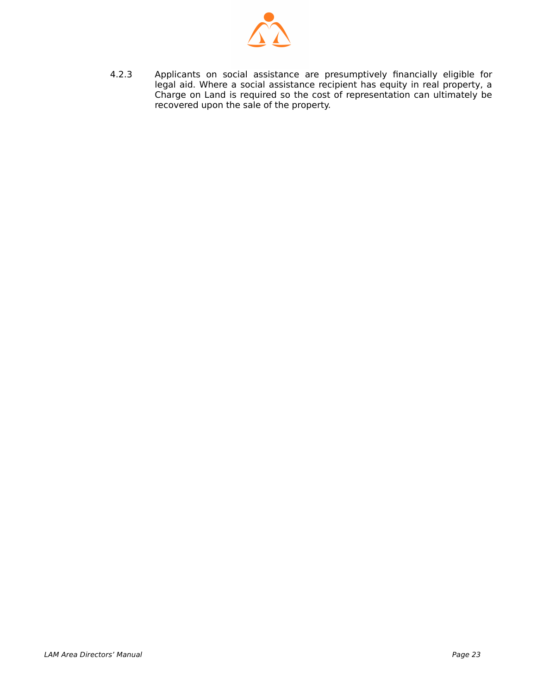

 4.2.3 Applicants on social assistance are presumptively financially eligible for legal aid. Where a social assistance recipient has equity in real property, a Charge on Land is required so the cost of representation can ultimately be recovered upon the sale of the property.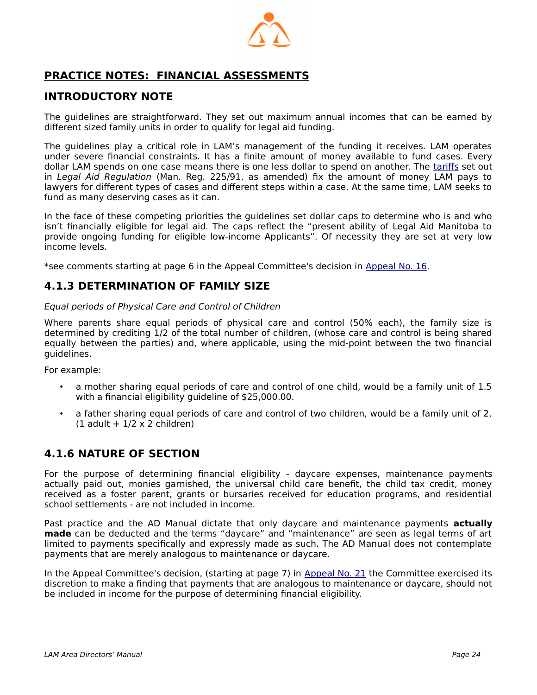

# <span id="page-23-0"></span> **PRACTICE NOTES: FINANCIAL ASSESSMENTS**

#### **INTRODUCTORY NOTE**

The guidelines are straightforward. They set out maximum annual incomes that can be earned by different sized family units in order to qualify for legal aid funding.

The guidelines play a critical role in LAM's management of the funding it receives. LAM operates under severe financial constraints. It has a finite amount of money available to fund cases. Every dollar LAM spends on one case means there is one less dollar to spend on another. The [tariffs](http://www.legalaid.mb.ca/pdf/tariff_2008.pdf) set out in Legal Aid Regulation (Man. Reg. 225/91, as amended) fix the amount of money LAM pays to lawyers for different types of cases and different steps within a case. At the same time, LAM seeks to fund as many deserving cases as it can.

In the face of these competing priorities the guidelines set dollar caps to determine who is and who isn't financially eligible for legal aid. The caps reflect the "present ability of Legal Aid Manitoba to provide ongoing funding for eligible low-income Applicants". Of necessity they are set at very low income levels.

\*see comments starting at page 6 in the Appeal Committee's decision in [Appeal No. 16](http://www.legalaid.mb.ca/pdf/appealcommittee/Decision%2016.pdf).

#### **4.1.3 DETERMINATION OF FAMILY SIZE**

#### Equal periods of Physical Care and Control of Children

Where parents share equal periods of physical care and control (50% each), the family size is determined by crediting 1/2 of the total number of children, (whose care and control is being shared equally between the parties) and, where applicable, using the mid-point between the two financial guidelines.

For example:

- a mother sharing equal periods of care and control of one child, would be a family unit of 1.5 with a financial eligibility guideline of \$25,000.00.
- a father sharing equal periods of care and control of two children, would be a family unit of 2,  $(1$  adult +  $1/2 \times 2$  children)

## **4.1.6 NATURE OF SECTION**

For the purpose of determining financial eligibility - daycare expenses, maintenance payments actually paid out, monies garnished, the universal child care benefit, the child tax credit, money received as a foster parent, grants or bursaries received for education programs, and residential school settlements - are not included in income.

Past practice and the AD Manual dictate that only daycare and maintenance payments **actually made** can be deducted and the terms "daycare" and "maintenance" are seen as legal terms of art limited to payments specifically and expressly made as such. The AD Manual does not contemplate payments that are merely analogous to maintenance or daycare.

In the Appeal Committee's decision, (starting at page 7) in [Appeal No. 21](http://www.legalaid.mb.ca/pdf/appealcommittee/Decision%2021.pdf) the Committee exercised its discretion to make a finding that payments that are analogous to maintenance or daycare, should not be included in income for the purpose of determining financial eligibility.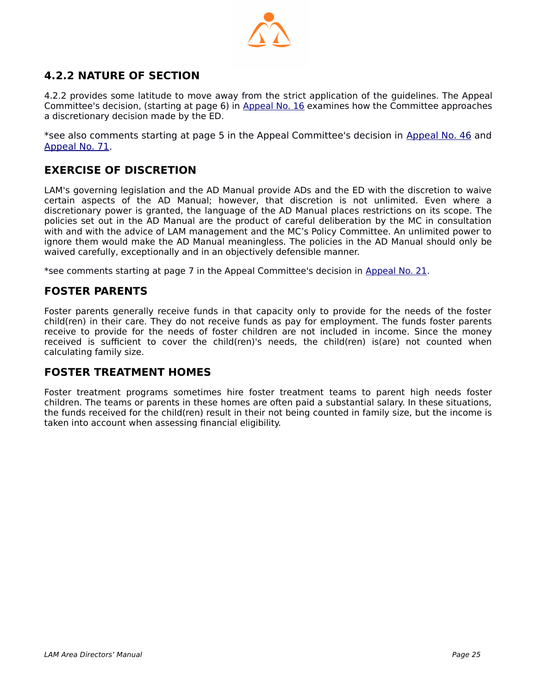

# **4.2.2 NATURE OF SECTION**

4.2.2 provides some latitude to move away from the strict application of the guidelines. The Appeal Committee's decision, (starting at page 6) in [Appeal No. 16](http://www.legalaid.mb.ca/pdf/appealcommittee/Decision%2016.pdf) examines how the Committee approaches a discretionary decision made by the ED.

\*see also comments starting at page 5 in the Appeal Committee's decision in [Appeal No. 46](http://www.legalaid.mb.ca/pdf/appealcommittee/Decision%20No.%2046.pdf) and [Appeal No. 71.](http://www.legalaid.mb.ca/pdf/appealcommittee/Decision%20No.%2071.pdf)

## **EXERCISE OF DISCRETION**

LAM's governing legislation and the AD Manual provide ADs and the ED with the discretion to waive certain aspects of the AD Manual; however, that discretion is not unlimited. Even where a discretionary power is granted, the language of the AD Manual places restrictions on its scope. The policies set out in the AD Manual are the product of careful deliberation by the MC in consultation with and with the advice of LAM management and the MC's Policy Committee. An unlimited power to ignore them would make the AD Manual meaningless. The policies in the AD Manual should only be waived carefully, exceptionally and in an objectively defensible manner.

\*see comments starting at page 7 in the Appeal Committee's decision in [Appeal No. 21](http://www.legalaid.mb.ca/pdf/appealcommittee/Decision%2021.pdf).

#### **FOSTER PARENTS**

Foster parents generally receive funds in that capacity only to provide for the needs of the foster child(ren) in their care. They do not receive funds as pay for employment. The funds foster parents receive to provide for the needs of foster children are not included in income. Since the money received is sufficient to cover the child(ren)'s needs, the child(ren) is(are) not counted when calculating family size.

#### **FOSTER TREATMENT HOMES**

Foster treatment programs sometimes hire foster treatment teams to parent high needs foster children. The teams or parents in these homes are often paid a substantial salary. In these situations, the funds received for the child(ren) result in their not being counted in family size, but the income is taken into account when assessing financial eligibility.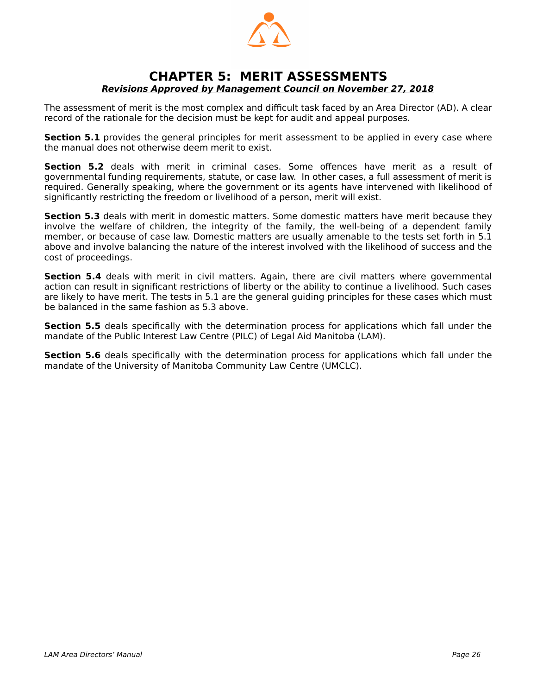

#### <span id="page-25-0"></span>**CHAPTER 5: MERIT ASSESSMENTS Revisions Approved by Management Council on November 27, 2018**

The assessment of merit is the most complex and difficult task faced by an Area Director (AD). A clear record of the rationale for the decision must be kept for audit and appeal purposes.

**Section 5.1** provides the general principles for merit assessment to be applied in every case where the manual does not otherwise deem merit to exist.

**Section 5.2** deals with merit in criminal cases. Some offences have merit as a result of governmental funding requirements, statute, or case law. In other cases, a full assessment of merit is required. Generally speaking, where the government or its agents have intervened with likelihood of significantly restricting the freedom or livelihood of a person, merit will exist.

**Section 5.3** deals with merit in domestic matters. Some domestic matters have merit because they involve the welfare of children, the integrity of the family, the well-being of a dependent family member, or because of case law. Domestic matters are usually amenable to the tests set forth in 5.1 above and involve balancing the nature of the interest involved with the likelihood of success and the cost of proceedings.

**Section 5.4** deals with merit in civil matters. Again, there are civil matters where governmental action can result in significant restrictions of liberty or the ability to continue a livelihood. Such cases are likely to have merit. The tests in 5.1 are the general guiding principles for these cases which must be balanced in the same fashion as 5.3 above.

**Section 5.5** deals specifically with the determination process for applications which fall under the mandate of the Public Interest Law Centre (PILC) of Legal Aid Manitoba (LAM).

**Section 5.6** deals specifically with the determination process for applications which fall under the mandate of the University of Manitoba Community Law Centre (UMCLC).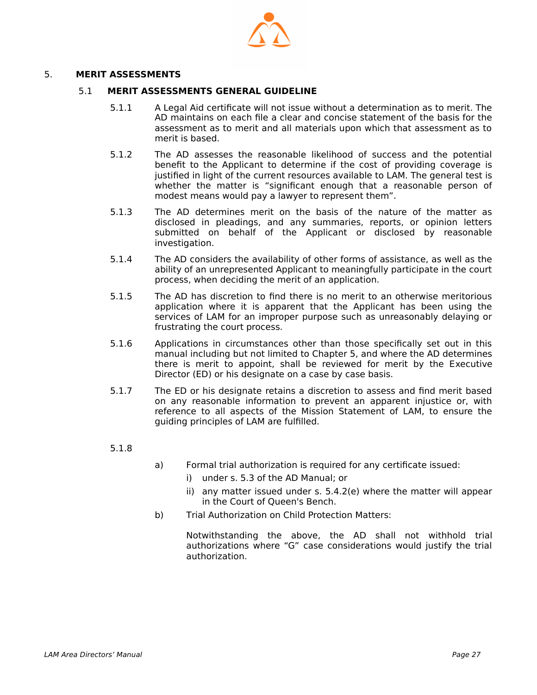

#### 5. **MERIT ASSESSMENTS**

#### 5.1 **MERIT ASSESSMENTS GENERAL GUIDELINE**

- 5.1.1 A Legal Aid certificate will not issue without a determination as to merit. The AD maintains on each file a clear and concise statement of the basis for the assessment as to merit and all materials upon which that assessment as to merit is based.
- 5.1.2 The AD assesses the reasonable likelihood of success and the potential benefit to the Applicant to determine if the cost of providing coverage is justified in light of the current resources available to LAM. The general test is whether the matter is "significant enough that a reasonable person of modest means would pay a lawyer to represent them".
- 5.1.3 The AD determines merit on the basis of the nature of the matter as disclosed in pleadings, and any summaries, reports, or opinion letters submitted on behalf of the Applicant or disclosed by reasonable investigation.
- 5.1.4 The AD considers the availability of other forms of assistance, as well as the ability of an unrepresented Applicant to meaningfully participate in the court process, when deciding the merit of an application.
- 5.1.5 The AD has discretion to find there is no merit to an otherwise meritorious application where it is apparent that the Applicant has been using the services of LAM for an improper purpose such as unreasonably delaying or frustrating the court process.
- 5.1.6 Applications in circumstances other than those specifically set out in this manual including but not limited to Chapter 5, and where the AD determines there is merit to appoint, shall be reviewed for merit by the Executive Director (ED) or his designate on a case by case basis.
- 5.1.7 The ED or his designate retains a discretion to assess and find merit based on any reasonable information to prevent an apparent injustice or, with reference to all aspects of the Mission Statement of LAM, to ensure the guiding principles of LAM are fulfilled.
- 5.1.8
- a) Formal trial authorization is required for any certificate issued:
	- i) under s. 5.3 of the AD Manual; or
	- ii) any matter issued under s. 5.4.2(e) where the matter will appear in the Court of Queen's Bench.
- b) Trial Authorization on Child Protection Matters:

Notwithstanding the above, the AD shall not withhold trial authorizations where "G" case considerations would justify the trial authorization.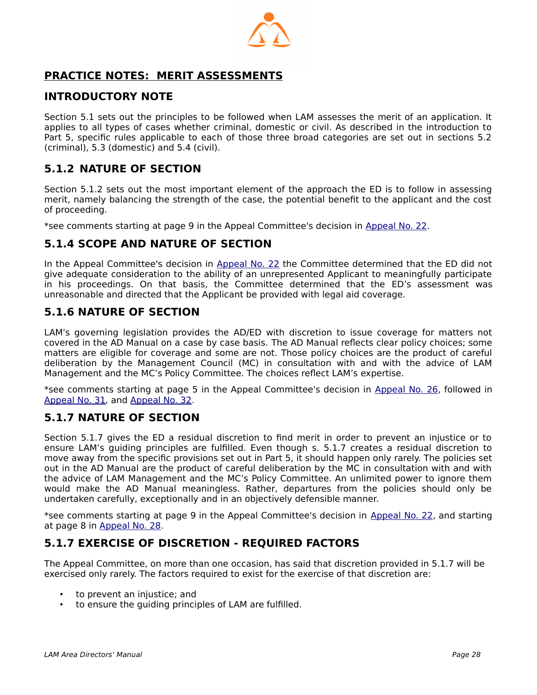

# <span id="page-27-0"></span> **PRACTICE NOTES: MERIT ASSESSMENTS**

#### **INTRODUCTORY NOTE**

Section 5.1 sets out the principles to be followed when LAM assesses the merit of an application. It applies to all types of cases whether criminal, domestic or civil. As described in the introduction to Part 5, specific rules applicable to each of those three broad categories are set out in sections 5.2 (criminal), 5.3 (domestic) and 5.4 (civil).

## **5.1.2 NATURE OF SECTION**

Section 5.1.2 sets out the most important element of the approach the ED is to follow in assessing merit, namely balancing the strength of the case, the potential benefit to the applicant and the cost of proceeding.

\*see comments starting at page 9 in the Appeal Committee's decision in [Appeal No. 22](http://www.legalaid.mb.ca/pdf/appealcommittee/Decision%20No.%2022.pdf).

#### **5.1.4 SCOPE AND NATURE OF SECTION**

In the Appeal Committee's decision in [Appeal No. 22](http://www.legalaid.mb.ca/pdf/appealcommittee/Decision%20No.%2022.pdf) the Committee determined that the ED did not give adequate consideration to the ability of an unrepresented Applicant to meaningfully participate in his proceedings. On that basis, the Committee determined that the ED's assessment was unreasonable and directed that the Applicant be provided with legal aid coverage.

#### **5.1.6 NATURE OF SECTION**

LAM's governing legislation provides the AD/ED with discretion to issue coverage for matters not covered in the AD Manual on a case by case basis. The AD Manual reflects clear policy choices; some matters are eligible for coverage and some are not. Those policy choices are the product of careful deliberation by the Management Council (MC) in consultation with and with the advice of LAM Management and the MC's Policy Committee. The choices reflect LAM's expertise.

\*see comments starting at page 5 in the Appeal Committee's decision in [Appeal No. 26,](http://www.legalaid.mb.ca/pdf/appealcommittee/Decision%20No.%2026.pdf) followed in [Appeal No. 31](http://www.legalaid.mb.ca/pdf/appealcommittee/Decision%20No.%2031.pdf), and [Appeal No. 32.](http://www.legalaid.mb.ca/pdf/appealcommittee/Decision%20No.%2032.pdf)

#### **5.1.7 NATURE OF SECTION**

Section 5.1.7 gives the ED a residual discretion to find merit in order to prevent an injustice or to ensure LAM's guiding principles are fulfilled. Even though s. 5.1.7 creates a residual discretion to move away from the specific provisions set out in Part 5, it should happen only rarely. The policies set out in the AD Manual are the product of careful deliberation by the MC in consultation with and with the advice of LAM Management and the MC's Policy Committee. An unlimited power to ignore them would make the AD Manual meaningless. Rather, departures from the policies should only be undertaken carefully, exceptionally and in an objectively defensible manner.

\*see comments starting at page 9 in the Appeal Committee's decision in [Appeal No. 22,](http://www.legalaid.mb.ca/pdf/appealcommittee/Decision%20No.%2022.pdf) and starting at page 8 in [Appeal No. 28](http://www.legalaid.mb.ca/pdf/appealcommittee/Decision%20No.%2028.pdf).

## **5.1.7 EXERCISE OF DISCRETION - REQUIRED FACTORS**

The Appeal Committee, on more than one occasion, has said that discretion provided in 5.1.7 will be exercised only rarely. The factors required to exist for the exercise of that discretion are:

- to prevent an injustice; and
- to ensure the quiding principles of LAM are fulfilled.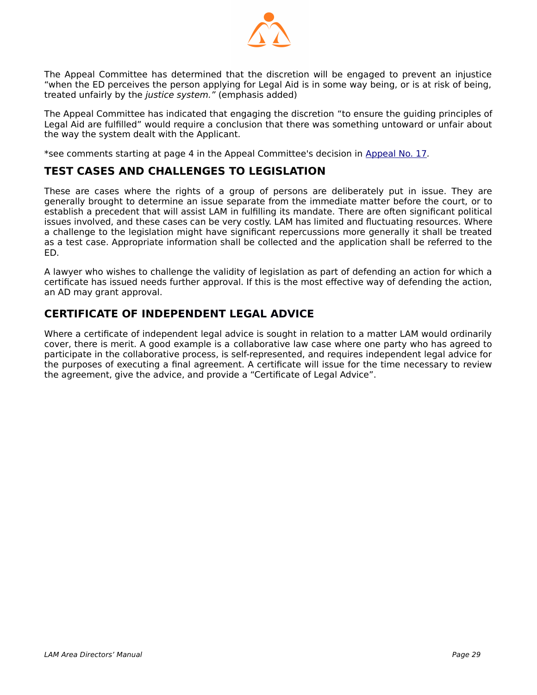

The Appeal Committee has determined that the discretion will be engaged to prevent an injustice "when the ED perceives the person applying for Legal Aid is in some way being, or is at risk of being, treated unfairly by the justice system." (emphasis added)

The Appeal Committee has indicated that engaging the discretion "to ensure the guiding principles of Legal Aid are fulfilled" would require a conclusion that there was something untoward or unfair about the way the system dealt with the Applicant.

\*see comments starting at page 4 in the Appeal Committee's decision in [Appeal No. 17](http://www.legalaid.mb.ca/pdf/appealcommittee/Decision%20No.%2017.pdf).

#### **TEST CASES AND CHALLENGES TO LEGISLATION**

These are cases where the rights of a group of persons are deliberately put in issue. They are generally brought to determine an issue separate from the immediate matter before the court, or to establish a precedent that will assist LAM in fulfilling its mandate. There are often significant political issues involved, and these cases can be very costly. LAM has limited and fluctuating resources. Where a challenge to the legislation might have significant repercussions more generally it shall be treated as a test case. Appropriate information shall be collected and the application shall be referred to the ED.

A lawyer who wishes to challenge the validity of legislation as part of defending an action for which a certificate has issued needs further approval. If this is the most effective way of defending the action, an AD may grant approval.

## **CERTIFICATE OF INDEPENDENT LEGAL ADVICE**

Where a certificate of independent legal advice is sought in relation to a matter LAM would ordinarily cover, there is merit. A good example is a collaborative law case where one party who has agreed to participate in the collaborative process, is self-represented, and requires independent legal advice for the purposes of executing a final agreement. A certificate will issue for the time necessary to review the agreement, give the advice, and provide a "Certificate of Legal Advice".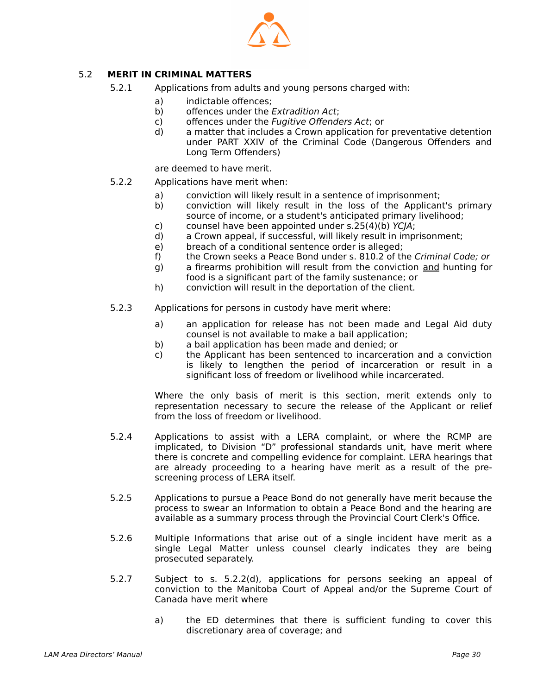

#### 5.2 **MERIT IN CRIMINAL MATTERS**

- <span id="page-29-0"></span> 5.2.1 Applications from adults and young persons charged with:
	- a) indictable offences;
	- b) offences under the *Extradition Act*:
	- c) offences under the Fugitive Offenders Act; or
	- d) a matter that includes a Crown application for preventative detention under PART XXIV of the Criminal Code (Dangerous Offenders and Long Term Offenders)

are deemed to have merit.

- 5.2.2 Applications have merit when:
	- a) conviction will likely result in a sentence of imprisonment;
	- b) conviction will likely result in the loss of the Applicant's primary source of income, or a student's anticipated primary livelihood;
	- c) counsel have been appointed under s.25(4)(b) YCJA;
	- d) a Crown appeal, if successful, will likely result in imprisonment;
	- e) breach of a conditional sentence order is alleged;
	- f) the Crown seeks a Peace Bond under s. 810.2 of the Criminal Code; or
	- g) a firearms prohibition will result from the conviction and hunting for food is a significant part of the family sustenance; or
	- h) conviction will result in the deportation of the client.
- 5.2.3 Applications for persons in custody have merit where:
	- a) an application for release has not been made and Legal Aid duty counsel is not available to make a bail application;
	- b) a bail application has been made and denied; or
	- c) the Applicant has been sentenced to incarceration and a conviction is likely to lengthen the period of incarceration or result in a significant loss of freedom or livelihood while incarcerated.

Where the only basis of merit is this section, merit extends only to representation necessary to secure the release of the Applicant or relief from the loss of freedom or livelihood.

- 5.2.4 Applications to assist with a LERA complaint, or where the RCMP are implicated, to Division "D" professional standards unit, have merit where there is concrete and compelling evidence for complaint. LERA hearings that are already proceeding to a hearing have merit as a result of the prescreening process of LERA itself.
- 5.2.5 Applications to pursue a Peace Bond do not generally have merit because the process to swear an Information to obtain a Peace Bond and the hearing are available as a summary process through the Provincial Court Clerk's Office.
- 5.2.6 Multiple Informations that arise out of a single incident have merit as a single Legal Matter unless counsel clearly indicates they are being prosecuted separately.
- 5.2.7 Subject to s. 5.2.2(d), applications for persons seeking an appeal of conviction to the Manitoba Court of Appeal and/or the Supreme Court of Canada have merit where
	- a) the ED determines that there is sufficient funding to cover this discretionary area of coverage; and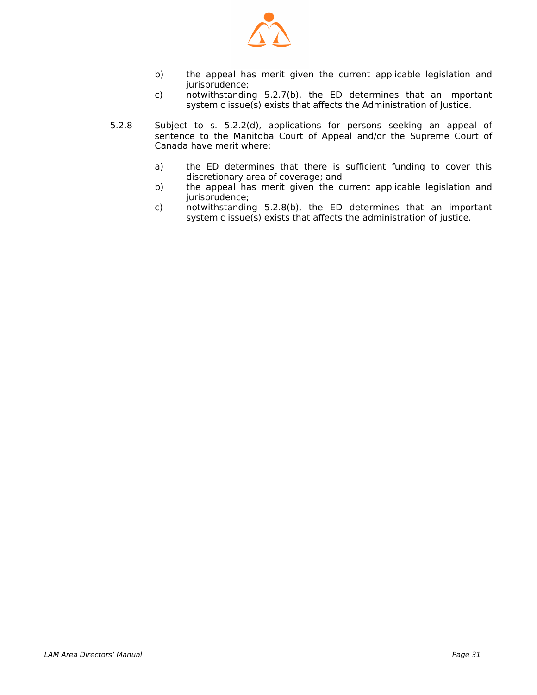

- b) the appeal has merit given the current applicable legislation and jurisprudence;
- c) notwithstanding 5.2.7(b), the ED determines that an important systemic issue(s) exists that affects the Administration of Justice.
- 5.2.8 Subject to s. 5.2.2(d), applications for persons seeking an appeal of sentence to the Manitoba Court of Appeal and/or the Supreme Court of Canada have merit where:
	- a) the ED determines that there is sufficient funding to cover this discretionary area of coverage; and
	- b) the appeal has merit given the current applicable legislation and jurisprudence;
	- c) notwithstanding 5.2.8(b), the ED determines that an important systemic issue(s) exists that affects the administration of justice.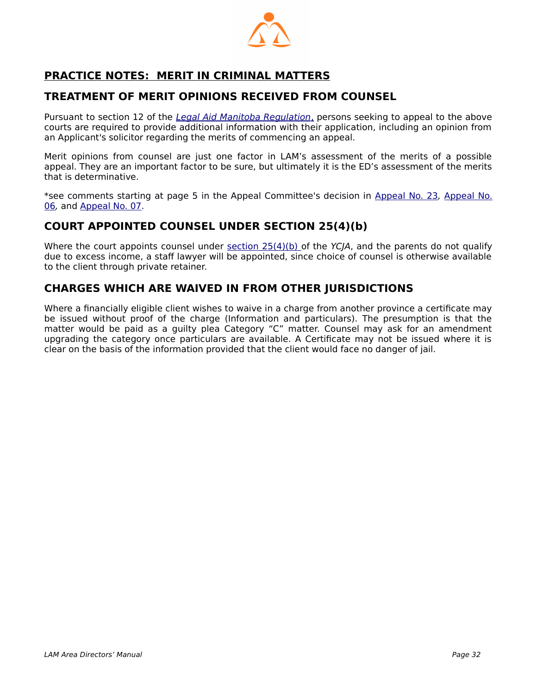

# <span id="page-31-0"></span> **PRACTICE NOTES: MERIT IN CRIMINAL MATTERS**

## **TREATMENT OF MERIT OPINIONS RECEIVED FROM COUNSEL**

Pursuant to section 12 of the *[Legal Aid Manitoba Regulation](http://web2.gov.mb.ca/laws/regs/current/_pdf-regs.php?reg=225/91)*[,](http://web2.gov.mb.ca/laws/regs/pdf/l105-225.91.pdf) persons seeking to appeal to the above courts are required to provide additional information with their application, including an opinion from an Applicant's solicitor regarding the merits of commencing an appeal.

Merit opinions from counsel are just one factor in LAM's assessment of the merits of a possible appeal. They are an important factor to be sure, but ultimately it is the ED's assessment of the merits that is determinative.

\*see comments starting at page 5 in the Appeal Committee's decision in [Appeal No. 23](http://www.legalaid.mb.ca/pdf/appealcommittee/Decision%2023.pdf), [Appeal No.](http://www.legalaid.mb.ca/pdf/appealcommittee/Decision%2006.pdf) [06](http://www.legalaid.mb.ca/pdf/appealcommittee/Decision%2006.pdf), and [Appeal No. 07](http://www.legalaid.mb.ca/pdf/appealcommittee/Decision%2007.pdf).

#### **COURT APPOINTED COUNSEL UNDER SECTION 25(4)(b)**

Where the court appoints counsel under [section 25\(4\)\(b\) o](https://laws-lois.justice.gc.ca/eng/acts/Y-1.5/page-4.html#docCont)f the YCJA, and the parents do not qualify due to excess income, a staff lawyer will be appointed, since choice of counsel is otherwise available to the client through private retainer.

## **CHARGES WHICH ARE WAIVED IN FROM OTHER JURISDICTIONS**

Where a financially eligible client wishes to waive in a charge from another province a certificate may be issued without proof of the charge (Information and particulars). The presumption is that the matter would be paid as a guilty plea Category "C" matter. Counsel may ask for an amendment upgrading the category once particulars are available. A Certificate may not be issued where it is clear on the basis of the information provided that the client would face no danger of jail.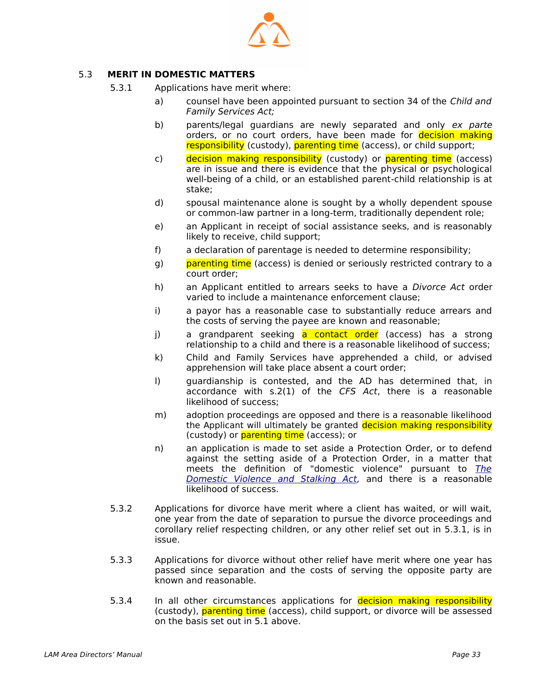

#### 5.3 **MERIT IN DOMESTIC MATTERS**

- <span id="page-32-0"></span> 5.3.1 Applications have merit where:
	- a) counsel have been appointed pursuant to section 34 of the Child and Family Services Act;
	- b) parents/legal guardians are newly separated and only ex parte orders, or no court orders, have been made for decision making responsibility (custody), parenting time (access), or child support;
	- c) decision making responsibility (custody) or parenting time (access) are in issue and there is evidence that the physical or psychological well-being of a child, or an established parent-child relationship is at stake;
	- d) spousal maintenance alone is sought by a wholly dependent spouse or common-law partner in a long-term, traditionally dependent role;
	- e) an Applicant in receipt of social assistance seeks, and is reasonably likely to receive, child support;
	- f) a declaration of parentage is needed to determine responsibility;
	- g) parenting time (access) is denied or seriously restricted contrary to a court order;
	- h) an Applicant entitled to arrears seeks to have a *Divorce Act* order varied to include a maintenance enforcement clause;
	- i) a payor has a reasonable case to substantially reduce arrears and the costs of serving the payee are known and reasonable;
	- j) a grandparent seeking a contact order (access) has a strong relationship to a child and there is a reasonable likelihood of success;
	- k) Child and Family Services have apprehended a child, or advised apprehension will take place absent a court order;
	- l) guardianship is contested, and the AD has determined that, in accordance with s.2(1) of the CFS Act, there is a reasonable likelihood of success;
	- m) adoption proceedings are opposed and there is a reasonable likelihood the Applicant will ultimately be granted decision making responsibility (custody) or parenting time (access); or
	- n) an application is made to set aside a Protection Order, or to defend against the setting aside of a Protection Order, in a matter that meets the definition of "domestic violence" pursuant to [The](https://web2.gov.mb.ca/laws/statutes/ccsm/d093e.php#2) [Domestic Violence and Stalking Act](https://web2.gov.mb.ca/laws/statutes/ccsm/d093e.php#2), and there is a reasonable likelihood of success.
- 5.3.2 Applications for divorce have merit where a client has waited, or will wait, one year from the date of separation to pursue the divorce proceedings and corollary relief respecting children, or any other relief set out in 5.3.1, is in issue.
- 5.3.3 Applications for divorce without other relief have merit where one year has passed since separation and the costs of serving the opposite party are known and reasonable.
- 5.3.4 In all other circumstances applications for **decision making responsibility** (custody), parenting time (access), child support, or divorce will be assessed on the basis set out in 5.1 above.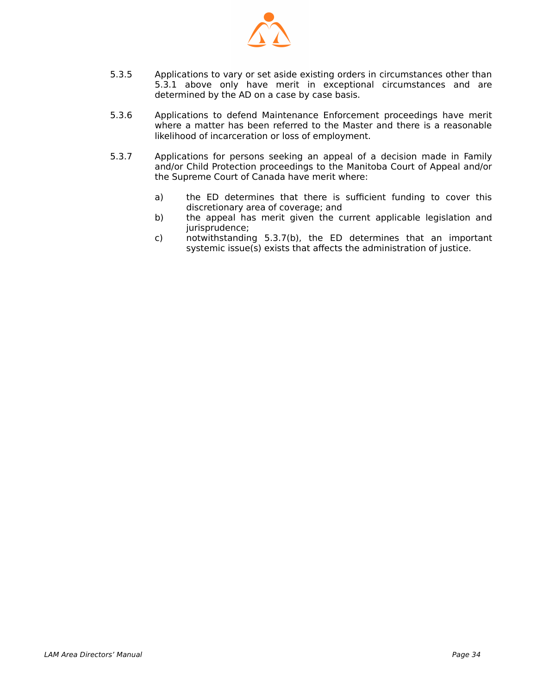

- 5.3.5 Applications to vary or set aside existing orders in circumstances other than 5.3.1 above only have merit in exceptional circumstances and are determined by the AD on a case by case basis.
- 5.3.6 Applications to defend Maintenance Enforcement proceedings have merit where a matter has been referred to the Master and there is a reasonable likelihood of incarceration or loss of employment.
- 5.3.7 Applications for persons seeking an appeal of a decision made in Family and/or Child Protection proceedings to the Manitoba Court of Appeal and/or the Supreme Court of Canada have merit where:
	- a) the ED determines that there is sufficient funding to cover this discretionary area of coverage; and
	- b) the appeal has merit given the current applicable legislation and jurisprudence;
	- c) notwithstanding 5.3.7(b), the ED determines that an important systemic issue(s) exists that affects the administration of justice.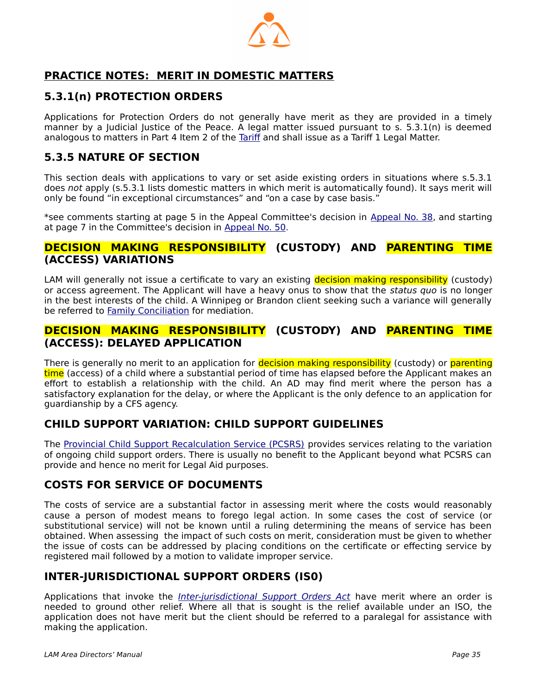

# <span id="page-34-0"></span> **PRACTICE NOTES: MERIT IN DOMESTIC MATTERS**

## **5.3.1(n) PROTECTION ORDERS**

Applications for Protection Orders do not generally have merit as they are provided in a timely manner by a Judicial Justice of the Peace. A legal matter issued pursuant to s. 5.3.1(n) is deemed analogous to matters in Part 4 Item 2 of the [Tariff](http://www.legalaid.mb.ca/pdf/tariff_2008.pdf) and shall issue as a Tariff 1 Legal Matter.

## **5.3.5 NATURE OF SECTION**

This section deals with applications to vary or set aside existing orders in situations where s.5.3.1 does not apply (s.5.3.1 lists domestic matters in which merit is automatically found). It says merit will only be found "in exceptional circumstances" and "on a case by case basis."

\*see comments starting at page 5 in the Appeal Committee's decision in [Appeal No. 38,](http://www.legalaid.mb.ca/pdf/appealcommittee/Decision%20No.%2038.pdf) and starting at page 7 in the Committee's decision in [Appeal No. 50](http://www.legalaid.mb.ca/pdf/appealcommittee/Decision%20No.%2050.pdf).

#### **DECISION MAKING RESPONSIBILITY (CUSTODY) AND PARENTING TIME (ACCESS) VARIATIONS**

LAM will generally not issue a certificate to vary an existing decision making responsibility (custody) or access agreement. The Applicant will have a heavy onus to show that the status quo is no longer in the best interests of the child. A Winnipeg or Brandon client seeking such a variance will generally be referred to [Family Conciliation](http://www.gov.mb.ca/fs/childfam/family_conciliation_faq.html) for mediation.

#### **DECISION MAKING RESPONSIBILITY (CUSTODY) AND PARENTING TIME (ACCESS): DELAYED APPLICATION**

There is generally no merit to an application for **decision making responsibility** (custody) or **parenting** time (access) of a child where a substantial period of time has elapsed before the Applicant makes an effort to establish a relationship with the child. An AD may find merit where the person has a satisfactory explanation for the delay, or where the Applicant is the only defence to an application for guardianship by a CFS agency.

## **CHILD SUPPORT VARIATION: CHILD SUPPORT GUIDELINES**

The [Provincial Child Support Recalculation Service \(PCSRS\)](http://www.gov.mb.ca/justice/family/law/recalculation.html) provides services relating to the variation of ongoing child support orders. There is usually no benefit to the Applicant beyond what PCSRS can provide and hence no merit for Legal Aid purposes.

## **COSTS FOR SERVICE OF DOCUMENTS**

The costs of service are a substantial factor in assessing merit where the costs would reasonably cause a person of modest means to forego legal action. In some cases the cost of service (or substitutional service) will not be known until a ruling determining the means of service has been obtained. When assessing the impact of such costs on merit, consideration must be given to whether the issue of costs can be addressed by placing conditions on the certificate or effecting service by registered mail followed by a motion to validate improper service.

## **INTER-JURISDICTIONAL SUPPORT ORDERS (IS0)**

Applications that invoke the *[Inter-jurisdictional Support Orders Act](https://web2.gov.mb.ca/laws/statutes/ccsm/i060e.php)* have merit where an order is needed to ground other relief. Where all that is sought is the relief available under an ISO, the application does not have merit but the client should be referred to a paralegal for assistance with making the application.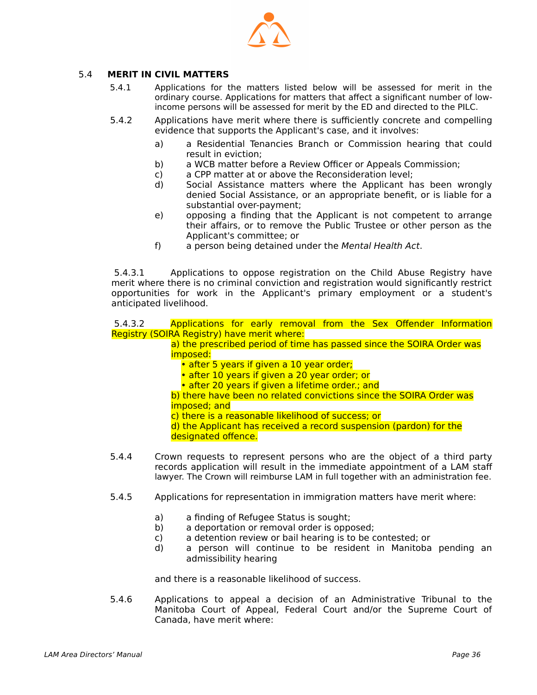

#### 5.4 **MERIT IN CIVIL MATTERS**

- <span id="page-35-0"></span> 5.4.1 Applications for the matters listed below will be assessed for merit in the ordinary course. Applications for matters that affect a significant number of lowincome persons will be assessed for merit by the ED and directed to the PILC.
- 5.4.2 Applications have merit where there is sufficiently concrete and compelling evidence that supports the Applicant's case, and it involves:
	- a) a Residential Tenancies Branch or Commission hearing that could result in eviction;
	- b) a WCB matter before a Review Officer or Appeals Commission;
	- c) a CPP matter at or above the Reconsideration level;<br>d) Social Assistance matters where the Applicant h
	- Social Assistance matters where the Applicant has been wrongly denied Social Assistance, or an appropriate benefit, or is liable for a substantial over-payment;
	- e) opposing a finding that the Applicant is not competent to arrange their affairs, or to remove the Public Trustee or other person as the Applicant's committee; or
	- f) a person being detained under the Mental Health Act.

 5.4.3.1 Applications to oppose registration on the Child Abuse Registry have merit where there is no criminal conviction and registration would significantly restrict opportunities for work in the Applicant's primary employment or a student's anticipated livelihood.

 5.4.3.2 Applications for early removal from the Sex Offender Information Registry (SOIRA Registry) have merit where:

a) the prescribed period of time has passed since the SOIRA Order was imposed:

- after 5 years if given a 10 year order;
- after 10 years if given a 20 year order; or
- after 20 years if given a lifetime order.; and

b) there have been no related convictions since the SOIRA Order was imposed; and

c) there is a reasonable likelihood of success; or

d) the Applicant has received a record suspension (pardon) for the

- designated offence.
- 5.4.4 Crown requests to represent persons who are the object of a third party records application will result in the immediate appointment of a LAM staff lawyer. The Crown will reimburse LAM in full together with an administration fee.
- 5.4.5 Applications for representation in immigration matters have merit where:
	- a) a finding of Refugee Status is sought;
	- b) a deportation or removal order is opposed;
	- c) a detention review or bail hearing is to be contested; or
	- d) a person will continue to be resident in Manitoba pending an admissibility hearing

and there is a reasonable likelihood of success.

 5.4.6 Applications to appeal a decision of an Administrative Tribunal to the Manitoba Court of Appeal, Federal Court and/or the Supreme Court of Canada, have merit where: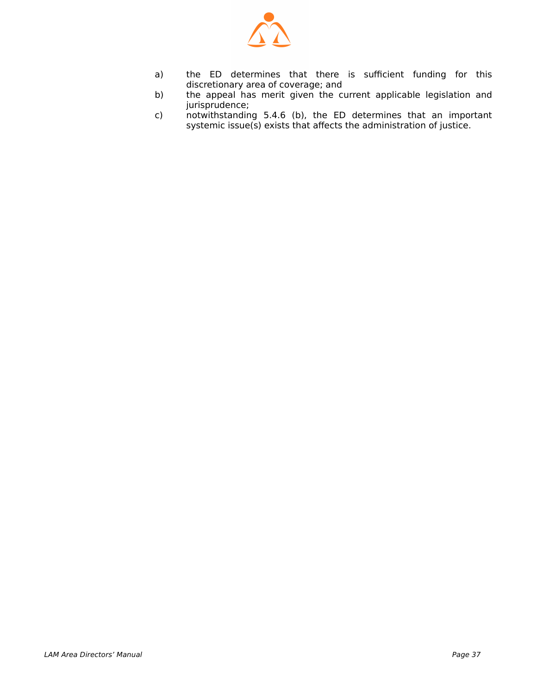

- a) the ED determines that there is sufficient funding for this discretionary area of coverage; and
- b) the appeal has merit given the current applicable legislation and jurisprudence;
- c) notwithstanding 5.4.6 (b), the ED determines that an important systemic issue(s) exists that affects the administration of justice.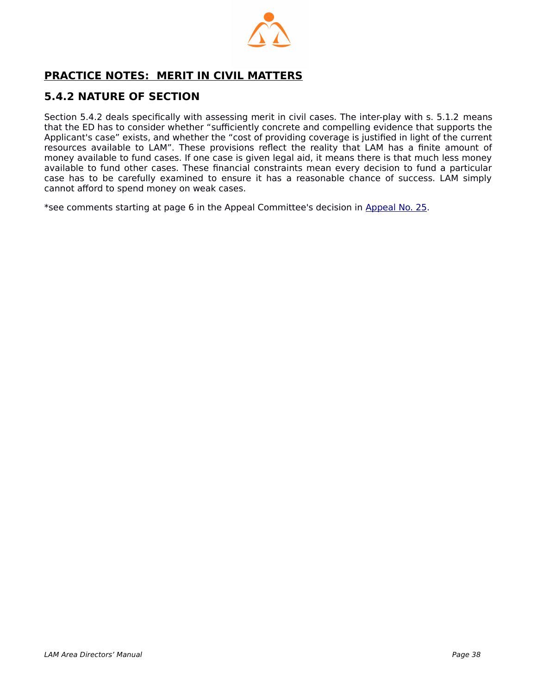

# <span id="page-37-0"></span> **PRACTICE NOTES: MERIT IN CIVIL MATTERS**

# **5.4.2 NATURE OF SECTION**

Section 5.4.2 deals specifically with assessing merit in civil cases. The inter-play with s. 5.1.2 means that the ED has to consider whether "sufficiently concrete and compelling evidence that supports the Applicant's case" exists, and whether the "cost of providing coverage is justified in light of the current resources available to LAM". These provisions reflect the reality that LAM has a finite amount of money available to fund cases. If one case is given legal aid, it means there is that much less money available to fund other cases. These financial constraints mean every decision to fund a particular case has to be carefully examined to ensure it has a reasonable chance of success. LAM simply cannot afford to spend money on weak cases.

\*see comments starting at page 6 in the Appeal Committee's decision in [Appeal No. 25.](http://www.legalaid.mb.ca/pdf/appealcommittee/Decision%20No.%2025.pdf)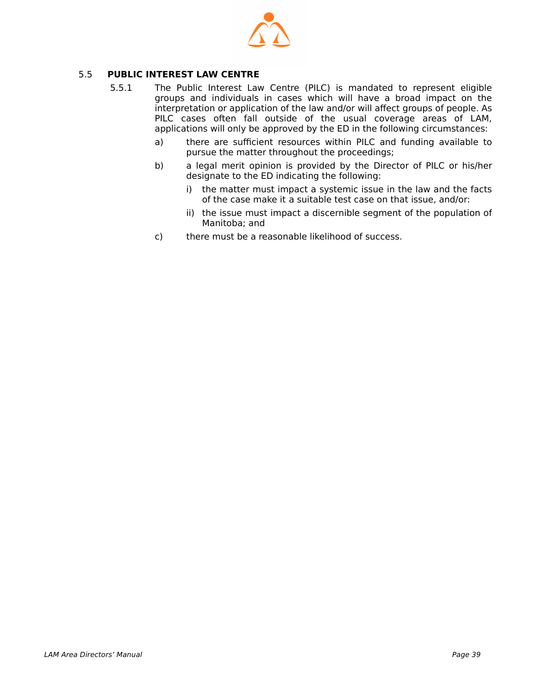

#### 5.5 **PUBLIC INTEREST LAW CENTRE**

- <span id="page-38-0"></span> 5.5.1 The Public Interest Law Centre (PILC) is mandated to represent eligible groups and individuals in cases which will have a broad impact on the interpretation or application of the law and/or will affect groups of people. As PILC cases often fall outside of the usual coverage areas of LAM, applications will only be approved by the ED in the following circumstances:
	- a) there are sufficient resources within PILC and funding available to pursue the matter throughout the proceedings;
	- b) a legal merit opinion is provided by the Director of PILC or his/her designate to the ED indicating the following:
		- i) the matter must impact a systemic issue in the law and the facts of the case make it a suitable test case on that issue, and/or:
		- ii) the issue must impact a discernible segment of the population of Manitoba; and
	- c) there must be a reasonable likelihood of success.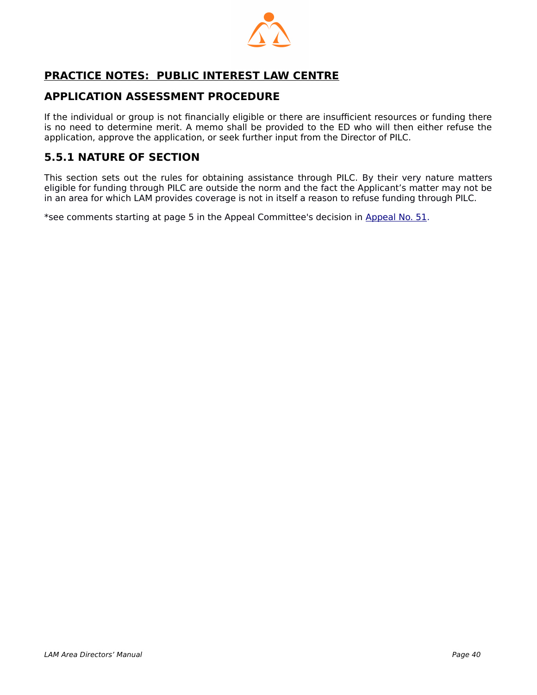

# <span id="page-39-0"></span> **PRACTICE NOTES: PUBLIC INTEREST LAW CENTRE**

## **APPLICATION ASSESSMENT PROCEDURE**

If the individual or group is not financially eligible or there are insufficient resources or funding there is no need to determine merit. A memo shall be provided to the ED who will then either refuse the application, approve the application, or seek further input from the Director of PILC.

## **5.5.1 NATURE OF SECTION**

This section sets out the rules for obtaining assistance through PILC. By their very nature matters eligible for funding through PILC are outside the norm and the fact the Applicant's matter may not be in an area for which LAM provides coverage is not in itself a reason to refuse funding through PILC.

\*see comments starting at page 5 in the Appeal Committee's decision in [Appeal No. 51](http://www.legalaid.mb.ca/pdf/appealcommittee/Decision%20No.%2051.pdf).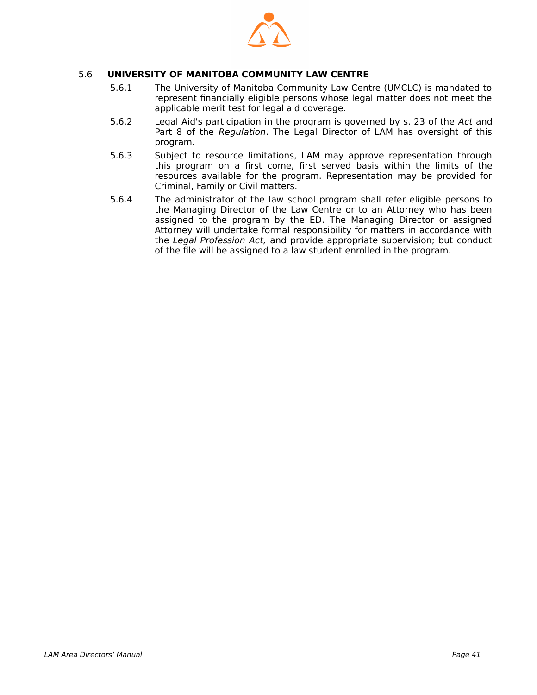

#### 5.6 **UNIVERSITY OF MANITOBA COMMUNITY LAW CENTRE**

- <span id="page-40-0"></span> 5.6.1 The University of Manitoba Community Law Centre (UMCLC) is mandated to represent financially eligible persons whose legal matter does not meet the applicable merit test for legal aid coverage.
- 5.6.2 Legal Aid's participation in the program is governed by s. 23 of the Act and Part 8 of the Regulation. The Legal Director of LAM has oversight of this program.
- 5.6.3 Subject to resource limitations, LAM may approve representation through this program on a first come, first served basis within the limits of the resources available for the program. Representation may be provided for Criminal, Family or Civil matters.
- 5.6.4 The administrator of the law school program shall refer eligible persons to the Managing Director of the Law Centre or to an Attorney who has been assigned to the program by the ED. The Managing Director or assigned Attorney will undertake formal responsibility for matters in accordance with the Legal Profession Act, and provide appropriate supervision; but conduct of the file will be assigned to a law student enrolled in the program.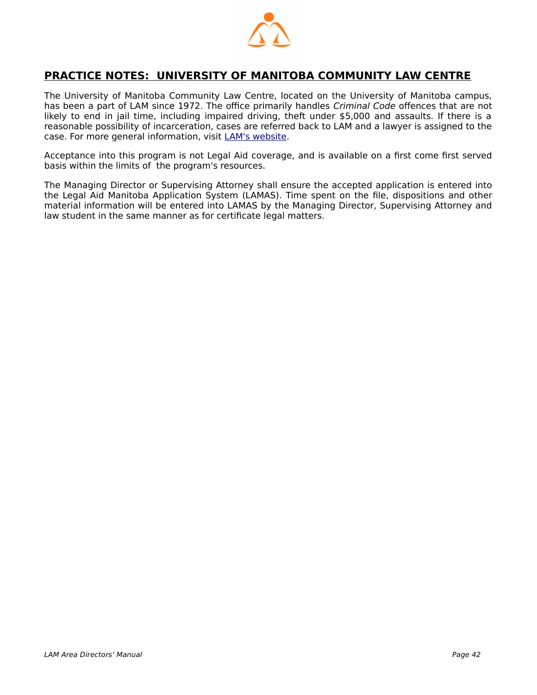

## <span id="page-41-0"></span> **PRACTICE NOTES: UNIVERSITY OF MANITOBA COMMUNITY LAW CENTRE**

The University of Manitoba Community Law Centre, located on the University of Manitoba campus, has been a part of LAM since 1972. The office primarily handles Criminal Code offences that are not likely to end in jail time, including impaired driving, theft under \$5,000 and assaults. If there is a reasonable possibility of incarceration, cases are referred back to LAM and a lawyer is assigned to the case. For more general information, visit [LAM's website.](https://www.legalaid.mb.ca/services/services-we-provide/criminal/u-of-m-community-law-centre/)

Acceptance into this program is not Legal Aid coverage, and is available on a first come first served basis within the limits of the program's resources.

The Managing Director or Supervising Attorney shall ensure the accepted application is entered into the Legal Aid Manitoba Application System (LAMAS). Time spent on the file, dispositions and other material information will be entered into LAMAS by the Managing Director, Supervising Attorney and law student in the same manner as for certificate legal matters.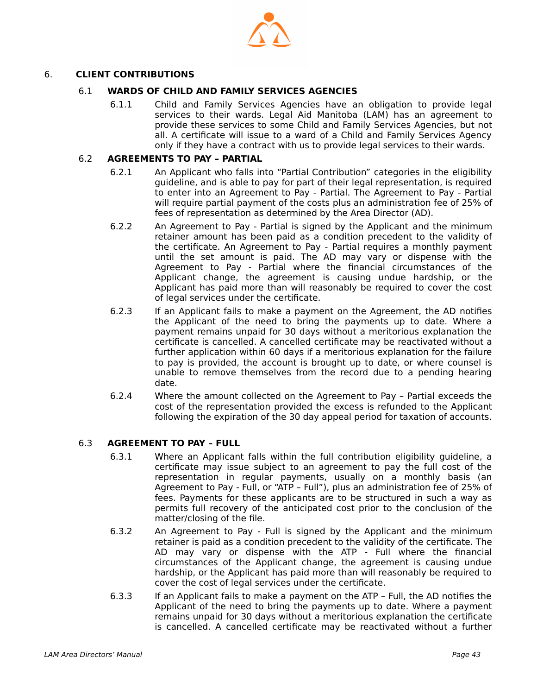

#### 6. **CLIENT CONTRIBUTIONS**

#### <span id="page-42-2"></span>6.1 **WARDS OF CHILD AND FAMILY SERVICES AGENCIES**

 6.1.1 Child and Family Services Agencies have an obligation to provide legal services to their wards. Legal Aid Manitoba (LAM) has an agreement to provide these services to some Child and Family Services Agencies, but not all. A certificate will issue to a ward of a Child and Family Services Agency only if they have a contract with us to provide legal services to their wards.

#### 6.2 **AGREEMENTS TO PAY – PARTIAL**

- <span id="page-42-1"></span> 6.2.1 An Applicant who falls into "Partial Contribution" categories in the eligibility guideline, and is able to pay for part of their legal representation, is required to enter into an Agreement to Pay - Partial. The Agreement to Pay - Partial will require partial payment of the costs plus an administration fee of 25% of fees of representation as determined by the Area Director (AD).
- 6.2.2 An Agreement to Pay Partial is signed by the Applicant and the minimum retainer amount has been paid as a condition precedent to the validity of the certificate. An Agreement to Pay - Partial requires a monthly payment until the set amount is paid. The AD may vary or dispense with the Agreement to Pay - Partial where the financial circumstances of the Applicant change, the agreement is causing undue hardship, or the Applicant has paid more than will reasonably be required to cover the cost of legal services under the certificate.
- 6.2.3 If an Applicant fails to make a payment on the Agreement, the AD notifies the Applicant of the need to bring the payments up to date. Where a payment remains unpaid for 30 days without a meritorious explanation the certificate is cancelled. A cancelled certificate may be reactivated without a further application within 60 days if a meritorious explanation for the failure to pay is provided, the account is brought up to date, or where counsel is unable to remove themselves from the record due to a pending hearing date.
- 6.2.4 Where the amount collected on the Agreement to Pay Partial exceeds the cost of the representation provided the excess is refunded to the Applicant following the expiration of the 30 day appeal period for taxation of accounts.

#### 6.3 **AGREEMENT TO PAY – FULL**

- <span id="page-42-0"></span> 6.3.1 Where an Applicant falls within the full contribution eligibility guideline, a certificate may issue subject to an agreement to pay the full cost of the representation in regular payments, usually on a monthly basis (an Agreement to Pay - Full, or "ATP – Full"), plus an administration fee of 25% of fees. Payments for these applicants are to be structured in such a way as permits full recovery of the anticipated cost prior to the conclusion of the matter/closing of the file.
- 6.3.2 An Agreement to Pay Full is signed by the Applicant and the minimum retainer is paid as a condition precedent to the validity of the certificate. The AD may vary or dispense with the ATP - Full where the financial circumstances of the Applicant change, the agreement is causing undue hardship, or the Applicant has paid more than will reasonably be required to cover the cost of legal services under the certificate.
- 6.3.3 If an Applicant fails to make a payment on the ATP Full, the AD notifies the Applicant of the need to bring the payments up to date. Where a payment remains unpaid for 30 days without a meritorious explanation the certificate is cancelled. A cancelled certificate may be reactivated without a further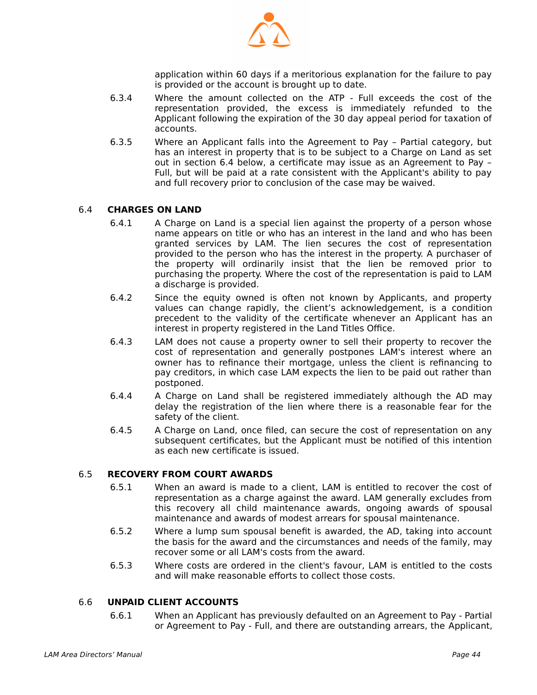

application within 60 days if a meritorious explanation for the failure to pay is provided or the account is brought up to date.

- 6.3.4 Where the amount collected on the ATP Full exceeds the cost of the representation provided, the excess is immediately refunded to the Applicant following the expiration of the 30 day appeal period for taxation of accounts.
- 6.3.5 Where an Applicant falls into the Agreement to Pay Partial category, but has an interest in property that is to be subject to a Charge on Land as set out in section 6.4 below, a certificate may issue as an Agreement to Pay – Full, but will be paid at a rate consistent with the Applicant's ability to pay and full recovery prior to conclusion of the case may be waived.

#### 6.4 **CHARGES ON LAND**

- <span id="page-43-2"></span> 6.4.1 A Charge on Land is a special lien against the property of a person whose name appears on title or who has an interest in the land and who has been granted services by LAM. The lien secures the cost of representation provided to the person who has the interest in the property. A purchaser of the property will ordinarily insist that the lien be removed prior to purchasing the property. Where the cost of the representation is paid to LAM a discharge is provided.
- 6.4.2 Since the equity owned is often not known by Applicants, and property values can change rapidly, the client's acknowledgement, is a condition precedent to the validity of the certificate whenever an Applicant has an interest in property registered in the Land Titles Office.
- 6.4.3 LAM does not cause a property owner to sell their property to recover the cost of representation and generally postpones LAM's interest where an owner has to refinance their mortgage, unless the client is refinancing to pay creditors, in which case LAM expects the lien to be paid out rather than postponed.
- 6.4.4 A Charge on Land shall be registered immediately although the AD may delay the registration of the lien where there is a reasonable fear for the safety of the client.
- 6.4.5 A Charge on Land, once filed, can secure the cost of representation on any subsequent certificates, but the Applicant must be notified of this intention as each new certificate is issued.

#### 6.5 **RECOVERY FROM COURT AWARDS**

- <span id="page-43-1"></span> 6.5.1 When an award is made to a client, LAM is entitled to recover the cost of representation as a charge against the award. LAM generally excludes from this recovery all child maintenance awards, ongoing awards of spousal maintenance and awards of modest arrears for spousal maintenance.
- 6.5.2 Where a lump sum spousal benefit is awarded, the AD, taking into account the basis for the award and the circumstances and needs of the family, may recover some or all LAM's costs from the award.
- 6.5.3 Where costs are ordered in the client's favour, LAM is entitled to the costs and will make reasonable efforts to collect those costs.

#### 6.6 **UNPAID CLIENT ACCOUNTS**

<span id="page-43-0"></span> 6.6.1 When an Applicant has previously defaulted on an Agreement to Pay - Partial or Agreement to Pay - Full, and there are outstanding arrears, the Applicant,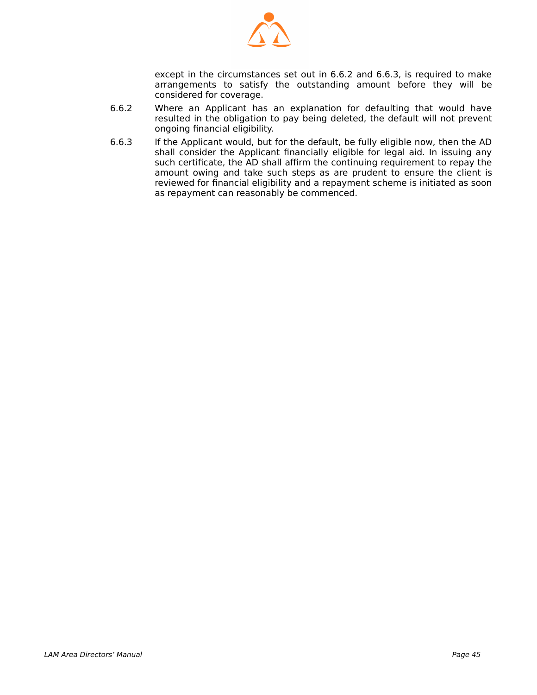

except in the circumstances set out in 6.6.2 and 6.6.3, is required to make arrangements to satisfy the outstanding amount before they will be considered for coverage.

- 6.6.2 Where an Applicant has an explanation for defaulting that would have resulted in the obligation to pay being deleted, the default will not prevent ongoing financial eligibility.
- 6.6.3 If the Applicant would, but for the default, be fully eligible now, then the AD shall consider the Applicant financially eligible for legal aid. In issuing any such certificate, the AD shall affirm the continuing requirement to repay the amount owing and take such steps as are prudent to ensure the client is reviewed for financial eligibility and a repayment scheme is initiated as soon as repayment can reasonably be commenced.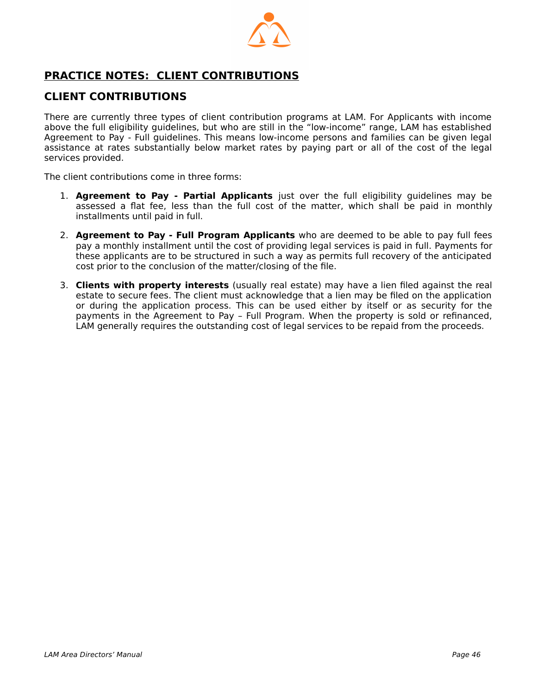

# <span id="page-45-0"></span> **PRACTICE NOTES: CLIENT CONTRIBUTIONS**

## **CLIENT CONTRIBUTIONS**

There are currently three types of client contribution programs at LAM. For Applicants with income above the full eligibility guidelines, but who are still in the "low-income" range, LAM has established Agreement to Pay - Full guidelines. This means low-income persons and families can be given legal assistance at rates substantially below market rates by paying part or all of the cost of the legal services provided.

The client contributions come in three forms:

- 1. **Agreement to Pay Partial Applicants** just over the full eligibility guidelines may be assessed a flat fee, less than the full cost of the matter, which shall be paid in monthly installments until paid in full.
- 2. **Agreement to Pay Full Program Applicants** who are deemed to be able to pay full fees pay a monthly installment until the cost of providing legal services is paid in full. Payments for these applicants are to be structured in such a way as permits full recovery of the anticipated cost prior to the conclusion of the matter/closing of the file.
- 3. **Clients with property interests** (usually real estate) may have a lien filed against the real estate to secure fees. The client must acknowledge that a lien may be filed on the application or during the application process. This can be used either by itself or as security for the payments in the Agreement to Pay – Full Program. When the property is sold or refinanced, LAM generally requires the outstanding cost of legal services to be repaid from the proceeds.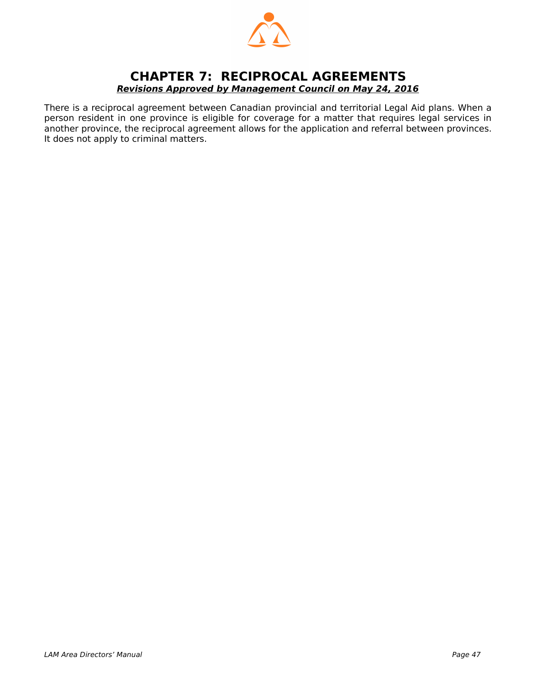

## <span id="page-46-0"></span>**CHAPTER 7: RECIPROCAL AGREEMENTS Revisions Approved by Management Council on May 24, 2016**

There is a reciprocal agreement between Canadian provincial and territorial Legal Aid plans. When a person resident in one province is eligible for coverage for a matter that requires legal services in another province, the reciprocal agreement allows for the application and referral between provinces. It does not apply to criminal matters.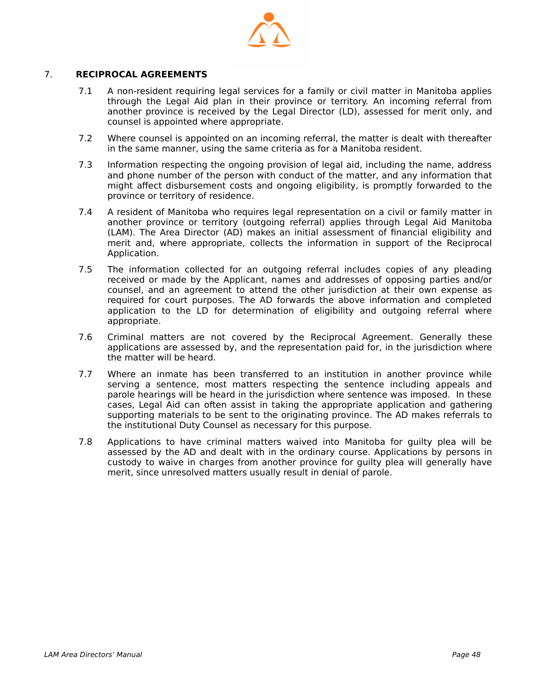

#### 7. **RECIPROCAL AGREEMENTS**

- 7.1 A non-resident requiring legal services for a family or civil matter in Manitoba applies through the Legal Aid plan in their province or territory. An incoming referral from another province is received by the Legal Director (LD), assessed for merit only, and counsel is appointed where appropriate.
- 7.2 Where counsel is appointed on an incoming referral, the matter is dealt with thereafter in the same manner, using the same criteria as for a Manitoba resident.
- 7.3 Information respecting the ongoing provision of legal aid, including the name, address and phone number of the person with conduct of the matter, and any information that might affect disbursement costs and ongoing eligibility, is promptly forwarded to the province or territory of residence.
- 7.4 A resident of Manitoba who requires legal representation on a civil or family matter in another province or territory (outgoing referral) applies through Legal Aid Manitoba (LAM). The Area Director (AD) makes an initial assessment of financial eligibility and merit and, where appropriate, collects the information in support of the Reciprocal Application.
- 7.5 The information collected for an outgoing referral includes copies of any pleading received or made by the Applicant, names and addresses of opposing parties and/or counsel, and an agreement to attend the other jurisdiction at their own expense as required for court purposes. The AD forwards the above information and completed application to the LD for determination of eligibility and outgoing referral where appropriate.
- 7.6 Criminal matters are not covered by the Reciprocal Agreement. Generally these applications are assessed by, and the representation paid for, in the jurisdiction where the matter will be heard.
- 7.7 Where an inmate has been transferred to an institution in another province while serving a sentence, most matters respecting the sentence including appeals and parole hearings will be heard in the jurisdiction where sentence was imposed. In these cases, Legal Aid can often assist in taking the appropriate application and gathering supporting materials to be sent to the originating province. The AD makes referrals to the institutional Duty Counsel as necessary for this purpose.
- 7.8 Applications to have criminal matters waived into Manitoba for guilty plea will be assessed by the AD and dealt with in the ordinary course. Applications by persons in custody to waive in charges from another province for guilty plea will generally have merit, since unresolved matters usually result in denial of parole.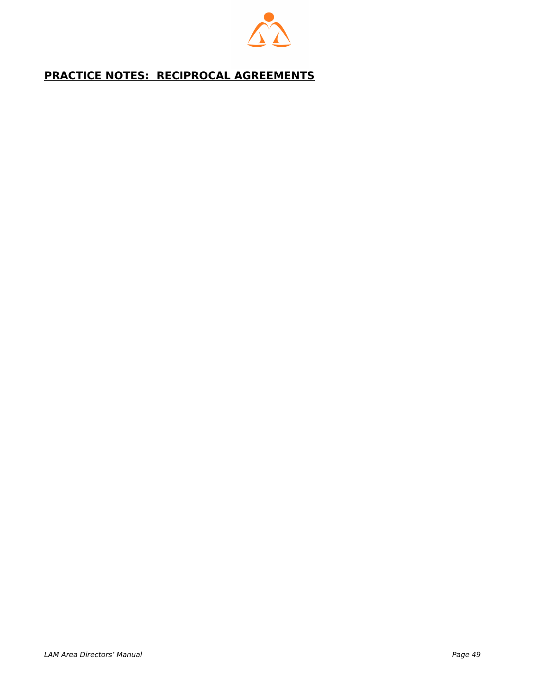

# <span id="page-48-0"></span> **PRACTICE NOTES: RECIPROCAL AGREEMENTS**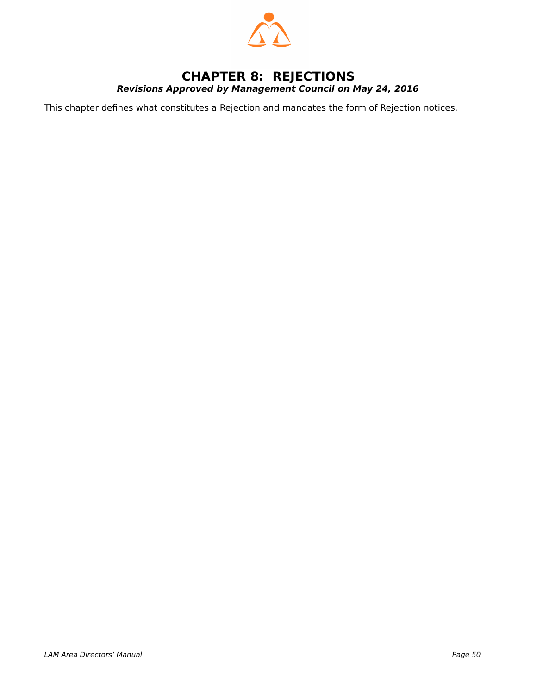

## <span id="page-49-0"></span>**CHAPTER 8: REJECTIONS Revisions Approved by Management Council on May 24, 2016**

This chapter defines what constitutes a Rejection and mandates the form of Rejection notices.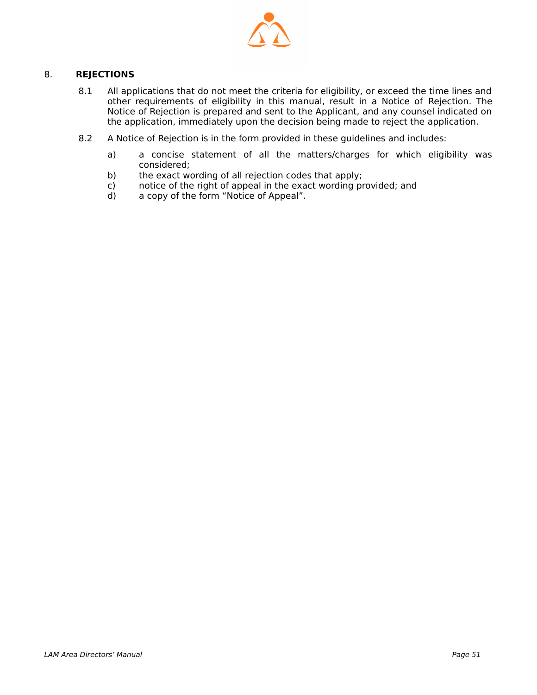

#### 8. **REJECTIONS**

- 8.1 All applications that do not meet the criteria for eligibility, or exceed the time lines and other requirements of eligibility in this manual, result in a Notice of Rejection. The Notice of Rejection is prepared and sent to the Applicant, and any counsel indicated on the application, immediately upon the decision being made to reject the application.
- 8.2 A Notice of Rejection is in the form provided in these guidelines and includes:
	- a) a concise statement of all the matters/charges for which eligibility was considered;
	- b) the exact wording of all rejection codes that apply;
	- c) notice of the right of appeal in the exact wording provided; and d) a copy of the form "Notice of Appeal".
	- a copy of the form "Notice of Appeal".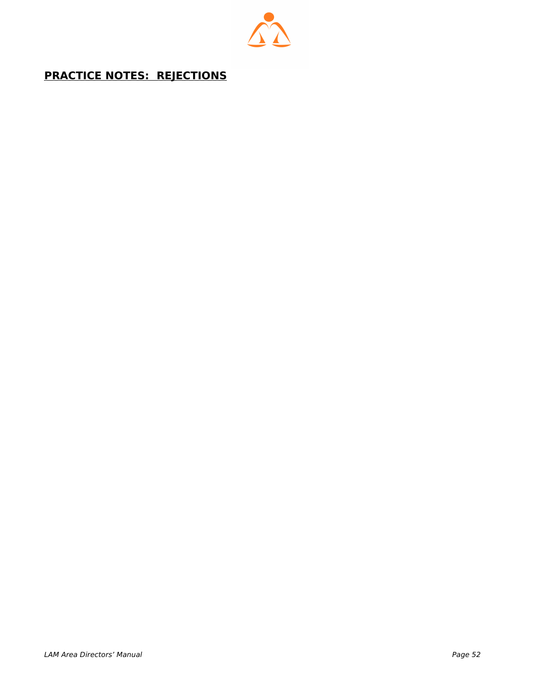

# <span id="page-51-0"></span> **PRACTICE NOTES: REJECTIONS**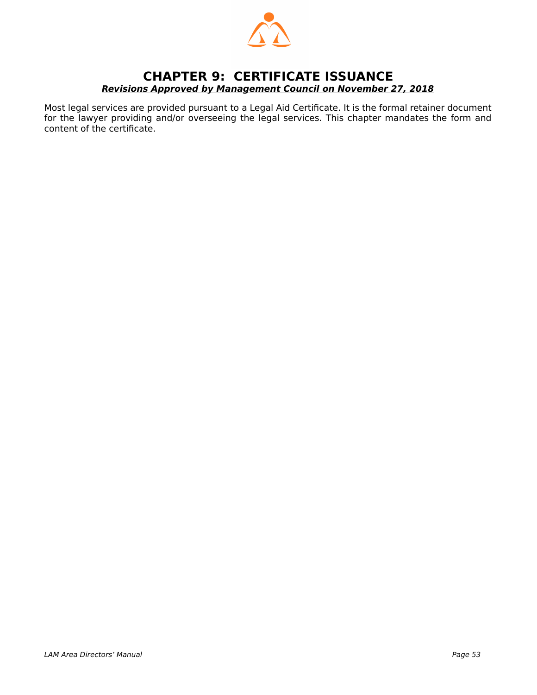

## <span id="page-52-0"></span>**CHAPTER 9: CERTIFICATE ISSUANCE Revisions Approved by Management Council on November 27, 2018**

Most legal services are provided pursuant to a Legal Aid Certificate. It is the formal retainer document for the lawyer providing and/or overseeing the legal services. This chapter mandates the form and content of the certificate.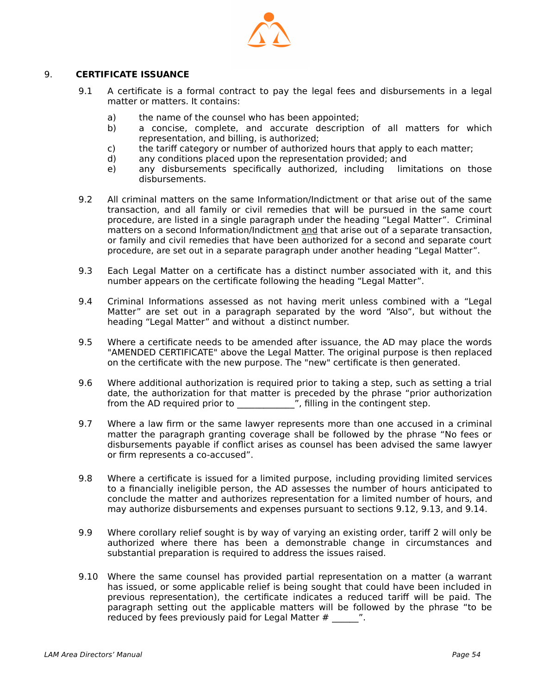

#### 9. **CERTIFICATE ISSUANCE**

- 9.1 A certificate is a formal contract to pay the legal fees and disbursements in a legal matter or matters. It contains:
	- a) the name of the counsel who has been appointed;
	- b) a concise, complete, and accurate description of all matters for which representation, and billing, is authorized;
	- c) the tariff category or number of authorized hours that apply to each matter;<br>d) any conditions placed upon the representation provided; and
	- any conditions placed upon the representation provided; and
	- e) any disbursements specifically authorized, including limitations on those disbursements.
- 9.2 All criminal matters on the same Information/Indictment or that arise out of the same transaction, and all family or civil remedies that will be pursued in the same court procedure, are listed in a single paragraph under the heading "Legal Matter". Criminal matters on a second Information/Indictment and that arise out of a separate transaction, or family and civil remedies that have been authorized for a second and separate court procedure, are set out in a separate paragraph under another heading "Legal Matter".
- 9.3 Each Legal Matter on a certificate has a distinct number associated with it, and this number appears on the certificate following the heading "Legal Matter".
- 9.4 Criminal Informations assessed as not having merit unless combined with a "Legal Matter" are set out in a paragraph separated by the word "Also", but without the heading "Legal Matter" and without a distinct number.
- 9.5 Where a certificate needs to be amended after issuance, the AD may place the words "AMENDED CERTIFICATE" above the Legal Matter. The original purpose is then replaced on the certificate with the new purpose. The "new" certificate is then generated.
- 9.6 Where additional authorization is required prior to taking a step, such as setting a trial date, the authorization for that matter is preceded by the phrase "prior authorization from the AD required prior to \_\_\_\_\_\_\_\_\_\_\_\_\_", filling in the contingent step.
- 9.7 Where a law firm or the same lawyer represents more than one accused in a criminal matter the paragraph granting coverage shall be followed by the phrase "No fees or disbursements payable if conflict arises as counsel has been advised the same lawyer or firm represents a co-accused".
- 9.8 Where a certificate is issued for a limited purpose, including providing limited services to a financially ineligible person, the AD assesses the number of hours anticipated to conclude the matter and authorizes representation for a limited number of hours, and may authorize disbursements and expenses pursuant to sections 9.12, 9.13, and 9.14.
- 9.9 Where corollary relief sought is by way of varying an existing order, tariff 2 will only be authorized where there has been a demonstrable change in circumstances and substantial preparation is required to address the issues raised.
- 9.10 Where the same counsel has provided partial representation on a matter (a warrant has issued, or some applicable relief is being sought that could have been included in previous representation), the certificate indicates a reduced tariff will be paid. The paragraph setting out the applicable matters will be followed by the phrase "to be reduced by fees previously paid for Legal Matter #  $\ldots$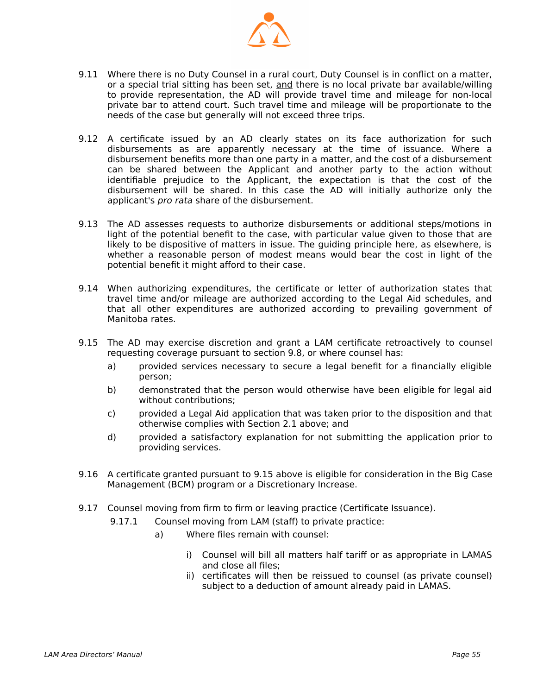

- 9.11 Where there is no Duty Counsel in a rural court, Duty Counsel is in conflict on a matter, or a special trial sitting has been set, and there is no local private bar available/willing to provide representation, the AD will provide travel time and mileage for non-local private bar to attend court. Such travel time and mileage will be proportionate to the needs of the case but generally will not exceed three trips.
- 9.12 A certificate issued by an AD clearly states on its face authorization for such disbursements as are apparently necessary at the time of issuance. Where a disbursement benefits more than one party in a matter, and the cost of a disbursement can be shared between the Applicant and another party to the action without identifiable prejudice to the Applicant, the expectation is that the cost of the disbursement will be shared. In this case the AD will initially authorize only the applicant's pro rata share of the disbursement.
- 9.13 The AD assesses requests to authorize disbursements or additional steps/motions in light of the potential benefit to the case, with particular value given to those that are likely to be dispositive of matters in issue. The guiding principle here, as elsewhere, is whether a reasonable person of modest means would bear the cost in light of the potential benefit it might afford to their case.
- 9.14 When authorizing expenditures, the certificate or letter of authorization states that travel time and/or mileage are authorized according to the Legal Aid schedules, and that all other expenditures are authorized according to prevailing government of Manitoba rates.
- 9.15 The AD may exercise discretion and grant a LAM certificate retroactively to counsel requesting coverage pursuant to section 9.8, or where counsel has:
	- a) provided services necessary to secure a legal benefit for a financially eligible person;
	- b) demonstrated that the person would otherwise have been eligible for legal aid without contributions;
	- c) provided a Legal Aid application that was taken prior to the disposition and that otherwise complies with Section 2.1 above; and
	- d) provided a satisfactory explanation for not submitting the application prior to providing services.
- 9.16 A certificate granted pursuant to 9.15 above is eligible for consideration in the Big Case Management (BCM) program or a Discretionary Increase.
- 9.17 Counsel moving from firm to firm or leaving practice (Certificate Issuance).
	- 9.17.1 Counsel moving from LAM (staff) to private practice:
		- a) Where files remain with counsel:
			- i) Counsel will bill all matters half tariff or as appropriate in LAMAS and close all files;
			- ii) certificates will then be reissued to counsel (as private counsel) subject to a deduction of amount already paid in LAMAS.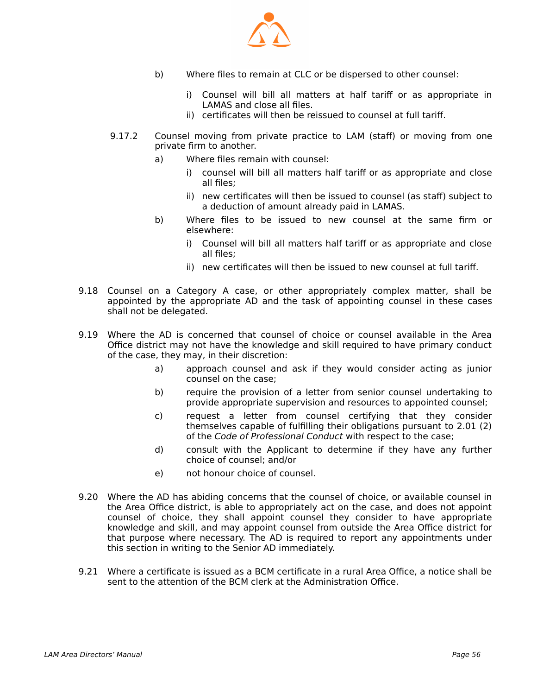

- b) Where files to remain at CLC or be dispersed to other counsel:
	- i) Counsel will bill all matters at half tariff or as appropriate in LAMAS and close all files.
	- ii) certificates will then be reissued to counsel at full tariff.
- 9.17.2 Counsel moving from private practice to LAM (staff) or moving from one private firm to another.
	- a) Where files remain with counsel:
		- i) counsel will bill all matters half tariff or as appropriate and close all files;
		- ii) new certificates will then be issued to counsel (as staff) subject to a deduction of amount already paid in LAMAS.
	- b) Where files to be issued to new counsel at the same firm or elsewhere:
		- i) Counsel will bill all matters half tariff or as appropriate and close all files;
		- ii) new certificates will then be issued to new counsel at full tariff.
- 9.18 Counsel on a Category A case, or other appropriately complex matter, shall be appointed by the appropriate AD and the task of appointing counsel in these cases shall not be delegated.
- 9.19 Where the AD is concerned that counsel of choice or counsel available in the Area Office district may not have the knowledge and skill required to have primary conduct of the case, they may, in their discretion:
	- a) approach counsel and ask if they would consider acting as junior counsel on the case;
	- b) require the provision of a letter from senior counsel undertaking to provide appropriate supervision and resources to appointed counsel;
	- c) request a letter from counsel certifying that they consider themselves capable of fulfilling their obligations pursuant to 2.01 (2) of the Code of Professional Conduct with respect to the case;
	- d) consult with the Applicant to determine if they have any further choice of counsel; and/or
	- e) not honour choice of counsel.
- 9.20 Where the AD has abiding concerns that the counsel of choice, or available counsel in the Area Office district, is able to appropriately act on the case, and does not appoint counsel of choice, they shall appoint counsel they consider to have appropriate knowledge and skill, and may appoint counsel from outside the Area Office district for that purpose where necessary. The AD is required to report any appointments under this section in writing to the Senior AD immediately.
- 9.21 Where a certificate is issued as a BCM certificate in a rural Area Office, a notice shall be sent to the attention of the BCM clerk at the Administration Office.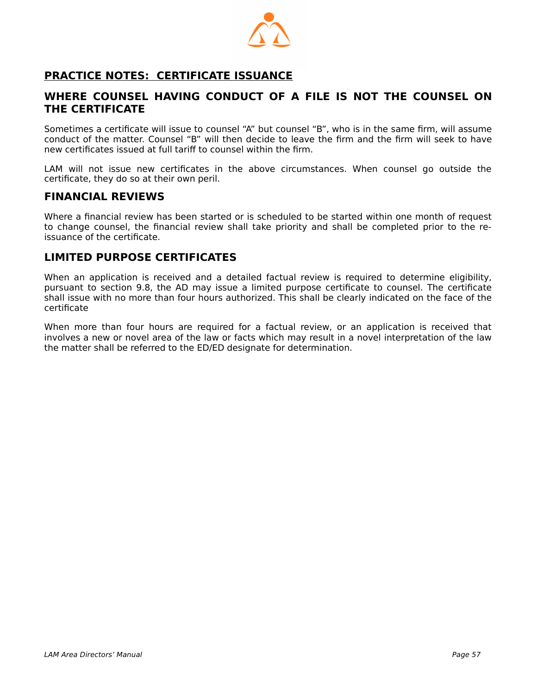

# <span id="page-56-0"></span> **PRACTICE NOTES: CERTIFICATE ISSUANCE**

#### **WHERE COUNSEL HAVING CONDUCT OF A FILE IS NOT THE COUNSEL ON THE CERTIFICATE**

Sometimes a certificate will issue to counsel "A" but counsel "B", who is in the same firm, will assume conduct of the matter. Counsel "B" will then decide to leave the firm and the firm will seek to have new certificates issued at full tariff to counsel within the firm.

LAM will not issue new certificates in the above circumstances. When counsel go outside the certificate, they do so at their own peril.

#### **FINANCIAL REVIEWS**

Where a financial review has been started or is scheduled to be started within one month of request to change counsel, the financial review shall take priority and shall be completed prior to the reissuance of the certificate.

#### **LIMITED PURPOSE CERTIFICATES**

When an application is received and a detailed factual review is required to determine eligibility, pursuant to section 9.8, the AD may issue a limited purpose certificate to counsel. The certificate shall issue with no more than four hours authorized. This shall be clearly indicated on the face of the certificate

When more than four hours are required for a factual review, or an application is received that involves a new or novel area of the law or facts which may result in a novel interpretation of the law the matter shall be referred to the ED/ED designate for determination.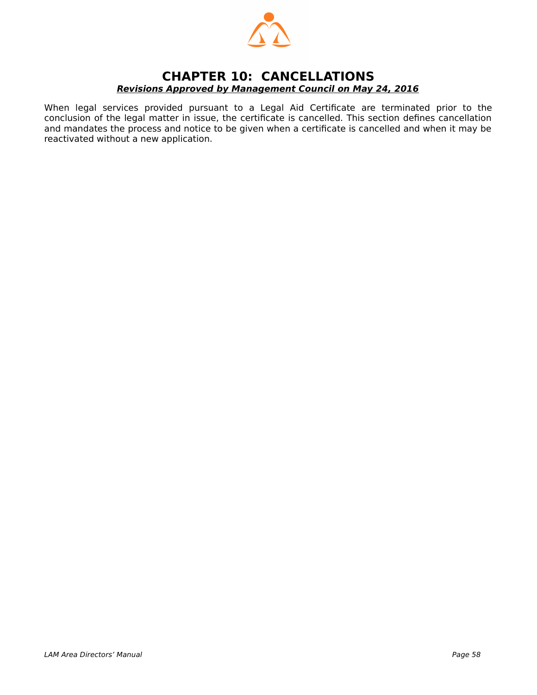

## <span id="page-57-0"></span>**CHAPTER 10: CANCELLATIONS Revisions Approved by Management Council on May 24, 2016**

When legal services provided pursuant to a Legal Aid Certificate are terminated prior to the conclusion of the legal matter in issue, the certificate is cancelled. This section defines cancellation and mandates the process and notice to be given when a certificate is cancelled and when it may be reactivated without a new application.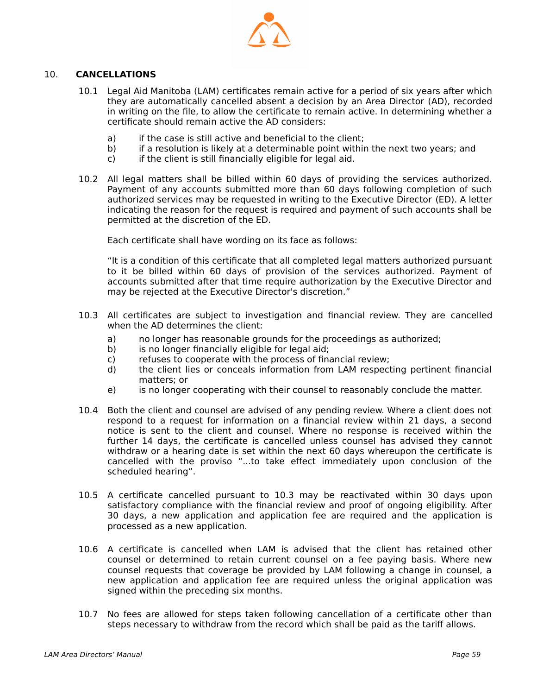

#### 10. **CANCELLATIONS**

- 10.1 Legal Aid Manitoba (LAM) certificates remain active for a period of six years after which they are automatically cancelled absent a decision by an Area Director (AD), recorded in writing on the file, to allow the certificate to remain active. In determining whether a certificate should remain active the AD considers:
	- a) if the case is still active and beneficial to the client;
	- b) if a resolution is likely at a determinable point within the next two years; and
	- c) if the client is still financially eligible for legal aid.
- 10.2 All legal matters shall be billed within 60 days of providing the services authorized. Payment of any accounts submitted more than 60 days following completion of such authorized services may be requested in writing to the Executive Director (ED). A letter indicating the reason for the request is required and payment of such accounts shall be permitted at the discretion of the ED.

Each certificate shall have wording on its face as follows:

"It is a condition of this certificate that all completed legal matters authorized pursuant to it be billed within 60 days of provision of the services authorized. Payment of accounts submitted after that time require authorization by the Executive Director and may be rejected at the Executive Director's discretion."

- 10.3 All certificates are subject to investigation and financial review. They are cancelled when the AD determines the client:
	- a) no longer has reasonable grounds for the proceedings as authorized;
	- b) is no longer financially eligible for legal aid;
	- c) refuses to cooperate with the process of financial review;
	- d) the client lies or conceals information from LAM respecting pertinent financial matters; or
	- e) is no longer cooperating with their counsel to reasonably conclude the matter.
- 10.4 Both the client and counsel are advised of any pending review. Where a client does not respond to a request for information on a financial review within 21 days, a second notice is sent to the client and counsel. Where no response is received within the further 14 days, the certificate is cancelled unless counsel has advised they cannot withdraw or a hearing date is set within the next 60 days whereupon the certificate is cancelled with the proviso "...to take effect immediately upon conclusion of the scheduled hearing".
- 10.5 A certificate cancelled pursuant to 10.3 may be reactivated within 30 days upon satisfactory compliance with the financial review and proof of ongoing eligibility. After 30 days, a new application and application fee are required and the application is processed as a new application.
- 10.6 A certificate is cancelled when LAM is advised that the client has retained other counsel or determined to retain current counsel on a fee paying basis. Where new counsel requests that coverage be provided by LAM following a change in counsel, a new application and application fee are required unless the original application was signed within the preceding six months.
- 10.7 No fees are allowed for steps taken following cancellation of a certificate other than steps necessary to withdraw from the record which shall be paid as the tariff allows.